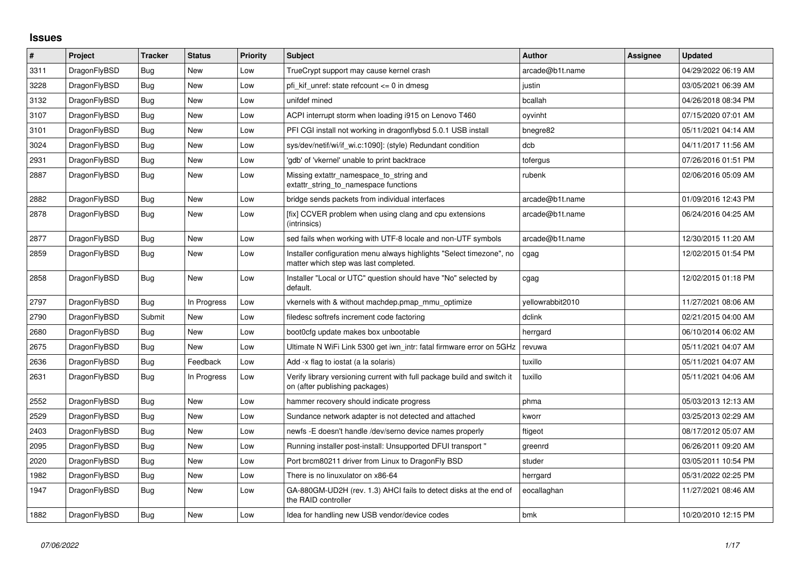## **Issues**

| $\#$ | Project      | <b>Tracker</b> | <b>Status</b> | <b>Priority</b> | <b>Subject</b>                                                                                                | <b>Author</b>    | <b>Assignee</b> | <b>Updated</b>      |
|------|--------------|----------------|---------------|-----------------|---------------------------------------------------------------------------------------------------------------|------------------|-----------------|---------------------|
| 3311 | DragonFlyBSD | <b>Bug</b>     | <b>New</b>    | Low             | TrueCrypt support may cause kernel crash                                                                      | arcade@b1t.name  |                 | 04/29/2022 06:19 AM |
| 3228 | DragonFlyBSD | <b>Bug</b>     | <b>New</b>    | Low             | pfi kif unref: state refcount $\leq 0$ in dmesg                                                               | justin           |                 | 03/05/2021 06:39 AM |
| 3132 | DragonFlyBSD | <b>Bug</b>     | <b>New</b>    | Low             | unifdef mined                                                                                                 | bcallah          |                 | 04/26/2018 08:34 PM |
| 3107 | DragonFlyBSD | <b>Bug</b>     | <b>New</b>    | Low             | ACPI interrupt storm when loading i915 on Lenovo T460                                                         | oyvinht          |                 | 07/15/2020 07:01 AM |
| 3101 | DragonFlyBSD | Bug            | <b>New</b>    | Low             | PFI CGI install not working in dragonflybsd 5.0.1 USB install                                                 | bnegre82         |                 | 05/11/2021 04:14 AM |
| 3024 | DragonFlyBSD | Bug            | <b>New</b>    | Low             | sys/dev/netif/wi/if wi.c:1090]: (style) Redundant condition                                                   | dcb              |                 | 04/11/2017 11:56 AM |
| 2931 | DragonFlyBSD | Bug            | <b>New</b>    | Low             | 'gdb' of 'vkernel' unable to print backtrace                                                                  | tofergus         |                 | 07/26/2016 01:51 PM |
| 2887 | DragonFlyBSD | Bug            | <b>New</b>    | Low             | Missing extattr namespace to string and<br>extattr_string_to_namespace functions                              | rubenk           |                 | 02/06/2016 05:09 AM |
| 2882 | DragonFlyBSD | Bug            | New           | Low             | bridge sends packets from individual interfaces                                                               | arcade@b1t.name  |                 | 01/09/2016 12:43 PM |
| 2878 | DragonFlyBSD | <b>Bug</b>     | <b>New</b>    | Low             | [fix] CCVER problem when using clang and cpu extensions<br>(intrinsics)                                       | arcade@b1t.name  |                 | 06/24/2016 04:25 AM |
| 2877 | DragonFlyBSD | Bug            | New           | Low             | sed fails when working with UTF-8 locale and non-UTF symbols                                                  | arcade@b1t.name  |                 | 12/30/2015 11:20 AM |
| 2859 | DragonFlyBSD | Bug            | <b>New</b>    | Low             | Installer configuration menu always highlights "Select timezone", no<br>matter which step was last completed. | cgag             |                 | 12/02/2015 01:54 PM |
| 2858 | DragonFlyBSD | Bug            | New           | Low             | Installer "Local or UTC" question should have "No" selected by<br>default.                                    | cgag             |                 | 12/02/2015 01:18 PM |
| 2797 | DragonFlyBSD | Bug            | In Progress   | Low             | vkernels with & without machdep.pmap mmu optimize                                                             | yellowrabbit2010 |                 | 11/27/2021 08:06 AM |
| 2790 | DragonFlyBSD | Submit         | New           | Low             | filedesc softrefs increment code factoring                                                                    | dclink           |                 | 02/21/2015 04:00 AM |
| 2680 | DragonFlyBSD | Bug            | New           | Low             | boot0cfg update makes box unbootable                                                                          | herrgard         |                 | 06/10/2014 06:02 AM |
| 2675 | DragonFlyBSD | Bug            | <b>New</b>    | Low             | Ultimate N WiFi Link 5300 get iwn_intr: fatal firmware error on 5GHz                                          | revuwa           |                 | 05/11/2021 04:07 AM |
| 2636 | DragonFlyBSD | Bug            | Feedback      | Low             | Add -x flag to iostat (a la solaris)                                                                          | tuxillo          |                 | 05/11/2021 04:07 AM |
| 2631 | DragonFlyBSD | <b>Bug</b>     | In Progress   | Low             | Verify library versioning current with full package build and switch it<br>on (after publishing packages)     | tuxillo          |                 | 05/11/2021 04:06 AM |
| 2552 | DragonFlyBSD | <b>Bug</b>     | New           | Low             | hammer recovery should indicate progress                                                                      | phma             |                 | 05/03/2013 12:13 AM |
| 2529 | DragonFlyBSD | Bug            | <b>New</b>    | Low             | Sundance network adapter is not detected and attached                                                         | kworr            |                 | 03/25/2013 02:29 AM |
| 2403 | DragonFlyBSD | <b>Bug</b>     | New           | Low             | newfs -E doesn't handle /dev/serno device names properly                                                      | ftigeot          |                 | 08/17/2012 05:07 AM |
| 2095 | DragonFlyBSD | Bug            | <b>New</b>    | Low             | Running installer post-install: Unsupported DFUI transport "                                                  | greenrd          |                 | 06/26/2011 09:20 AM |
| 2020 | DragonFlyBSD | Bug            | <b>New</b>    | Low             | Port brcm80211 driver from Linux to DragonFly BSD                                                             | studer           |                 | 03/05/2011 10:54 PM |
| 1982 | DragonFlyBSD | <b>Bug</b>     | <b>New</b>    | Low             | There is no linuxulator on x86-64                                                                             | herrgard         |                 | 05/31/2022 02:25 PM |
| 1947 | DragonFlyBSD | Bug            | New           | Low             | GA-880GM-UD2H (rev. 1.3) AHCI fails to detect disks at the end of<br>the RAID controller                      | eocallaghan      |                 | 11/27/2021 08:46 AM |
| 1882 | DragonFlyBSD | Bug            | New           | Low             | Idea for handling new USB vendor/device codes                                                                 | bmk              |                 | 10/20/2010 12:15 PM |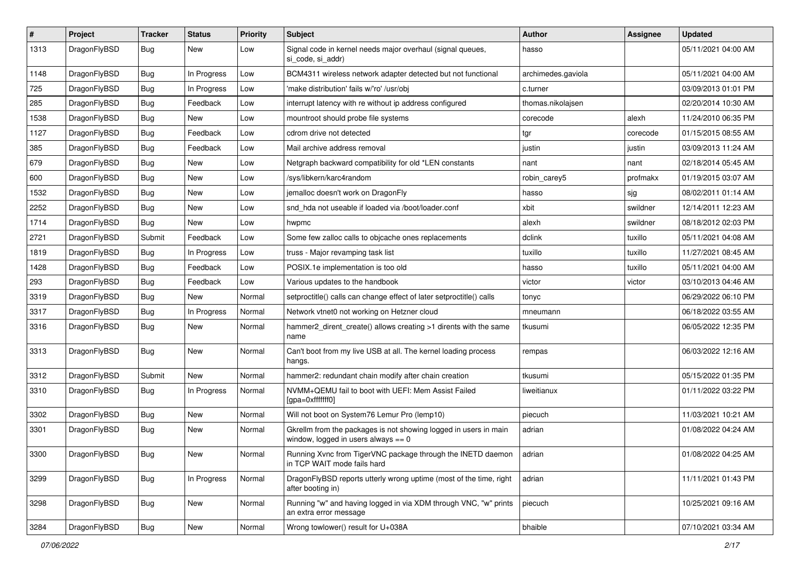| $\sharp$ | Project      | <b>Tracker</b> | <b>Status</b> | <b>Priority</b> | Subject                                                                                                   | Author             | Assignee | <b>Updated</b>      |
|----------|--------------|----------------|---------------|-----------------|-----------------------------------------------------------------------------------------------------------|--------------------|----------|---------------------|
| 1313     | DragonFlyBSD | Bug            | New           | Low             | Signal code in kernel needs major overhaul (signal queues,<br>si code, si addr)                           | hasso              |          | 05/11/2021 04:00 AM |
| 1148     | DragonFlyBSD | Bug            | In Progress   | Low             | BCM4311 wireless network adapter detected but not functional                                              | archimedes.gaviola |          | 05/11/2021 04:00 AM |
| 725      | DragonFlyBSD | Bug            | In Progress   | Low             | 'make distribution' fails w/'ro' /usr/obj                                                                 | c.turner           |          | 03/09/2013 01:01 PM |
| 285      | DragonFlyBSD | Bug            | Feedback      | Low             | interrupt latency with re without ip address configured                                                   | thomas.nikolajsen  |          | 02/20/2014 10:30 AM |
| 1538     | DragonFlyBSD | <b>Bug</b>     | New           | Low             | mountroot should probe file systems                                                                       | corecode           | alexh    | 11/24/2010 06:35 PM |
| 1127     | DragonFlyBSD | Bug            | Feedback      | Low             | cdrom drive not detected                                                                                  | tgr                | corecode | 01/15/2015 08:55 AM |
| 385      | DragonFlyBSD | Bug            | Feedback      | Low             | Mail archive address removal                                                                              | justin             | justin   | 03/09/2013 11:24 AM |
| 679      | DragonFlyBSD | Bug            | New           | Low             | Netgraph backward compatibility for old *LEN constants                                                    | nant               | nant     | 02/18/2014 05:45 AM |
| 600      | DragonFlyBSD | Bug            | <b>New</b>    | Low             | /sys/libkern/karc4random                                                                                  | robin carey5       | profmakx | 01/19/2015 03:07 AM |
| 1532     | DragonFlyBSD | Bug            | New           | Low             | jemalloc doesn't work on DragonFly                                                                        | hasso              | sjg      | 08/02/2011 01:14 AM |
| 2252     | DragonFlyBSD | Bug            | New           | Low             | snd hda not useable if loaded via /boot/loader.conf                                                       | xbit               | swildner | 12/14/2011 12:23 AM |
| 1714     | DragonFlyBSD | Bug            | New           | Low             | hwpmc                                                                                                     | alexh              | swildner | 08/18/2012 02:03 PM |
| 2721     | DragonFlyBSD | Submit         | Feedback      | Low             | Some few zalloc calls to objcache ones replacements                                                       | dclink             | tuxillo  | 05/11/2021 04:08 AM |
| 1819     | DragonFlyBSD | Bug            | In Progress   | Low             | truss - Major revamping task list                                                                         | tuxillo            | tuxillo  | 11/27/2021 08:45 AM |
| 1428     | DragonFlyBSD | <b>Bug</b>     | Feedback      | Low             | POSIX.1e implementation is too old                                                                        | hasso              | tuxillo  | 05/11/2021 04:00 AM |
| 293      | DragonFlyBSD | <b>Bug</b>     | Feedback      | Low             | Various updates to the handbook                                                                           | victor             | victor   | 03/10/2013 04:46 AM |
| 3319     | DragonFlyBSD | <b>Bug</b>     | <b>New</b>    | Normal          | setproctitle() calls can change effect of later setproctitle() calls                                      | tonyc              |          | 06/29/2022 06:10 PM |
| 3317     | DragonFlyBSD | <b>Bug</b>     | In Progress   | Normal          | Network vtnet0 not working on Hetzner cloud                                                               | mneumann           |          | 06/18/2022 03:55 AM |
| 3316     | DragonFlyBSD | <b>Bug</b>     | New           | Normal          | hammer2_dirent_create() allows creating >1 dirents with the same<br>name                                  | tkusumi            |          | 06/05/2022 12:35 PM |
| 3313     | DragonFlyBSD | <b>Bug</b>     | New           | Normal          | Can't boot from my live USB at all. The kernel loading process<br>hangs.                                  | rempas             |          | 06/03/2022 12:16 AM |
| 3312     | DragonFlyBSD | Submit         | New           | Normal          | hammer2: redundant chain modify after chain creation                                                      | tkusumi            |          | 05/15/2022 01:35 PM |
| 3310     | DragonFlyBSD | <b>Bug</b>     | In Progress   | Normal          | NVMM+QEMU fail to boot with UEFI: Mem Assist Failed<br>[gpa=0xfffffff0]                                   | liweitianux        |          | 01/11/2022 03:22 PM |
| 3302     | DragonFlyBSD | <b>Bug</b>     | New           | Normal          | Will not boot on System76 Lemur Pro (lemp10)                                                              | piecuch            |          | 11/03/2021 10:21 AM |
| 3301     | DragonFlyBSD | <b>Bug</b>     | New           | Normal          | Gkrellm from the packages is not showing logged in users in main<br>window, logged in users always $== 0$ | adrian             |          | 01/08/2022 04:24 AM |
| 3300     | DragonFlyBSD | <b>Bug</b>     | <b>New</b>    | Normal          | Running Xvnc from TigerVNC package through the INETD daemon adrian<br>in TCP WAIT mode fails hard         |                    |          | 01/08/2022 04:25 AM |
| 3299     | DragonFlyBSD | <b>Bug</b>     | In Progress   | Normal          | DragonFlyBSD reports utterly wrong uptime (most of the time, right<br>after booting in)                   | adrian             |          | 11/11/2021 01:43 PM |
| 3298     | DragonFlyBSD | <b>Bug</b>     | New           | Normal          | Running "w" and having logged in via XDM through VNC, "w" prints<br>an extra error message                | piecuch            |          | 10/25/2021 09:16 AM |
| 3284     | DragonFlyBSD | Bug            | New           | Normal          | Wrong towlower() result for U+038A                                                                        | bhaible            |          | 07/10/2021 03:34 AM |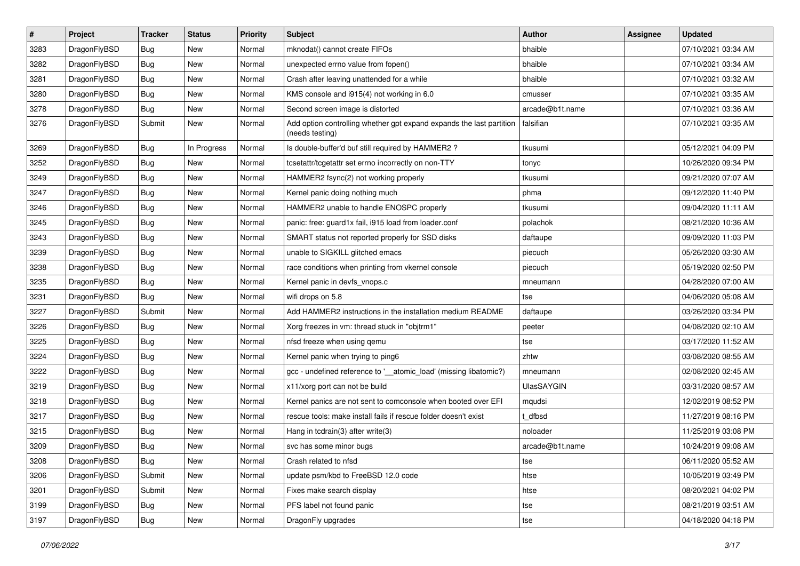| $\sharp$ | Project      | <b>Tracker</b> | <b>Status</b> | <b>Priority</b> | Subject                                                                                 | <b>Author</b>     | Assignee | <b>Updated</b>      |
|----------|--------------|----------------|---------------|-----------------|-----------------------------------------------------------------------------------------|-------------------|----------|---------------------|
| 3283     | DragonFlyBSD | <b>Bug</b>     | New           | Normal          | mknodat() cannot create FIFOs                                                           | bhaible           |          | 07/10/2021 03:34 AM |
| 3282     | DragonFlyBSD | <b>Bug</b>     | New           | Normal          | unexpected errno value from fopen()                                                     | bhaible           |          | 07/10/2021 03:34 AM |
| 3281     | DragonFlyBSD | <b>Bug</b>     | New           | Normal          | Crash after leaving unattended for a while                                              | bhaible           |          | 07/10/2021 03:32 AM |
| 3280     | DragonFlyBSD | <b>Bug</b>     | <b>New</b>    | Normal          | KMS console and i915(4) not working in 6.0                                              | cmusser           |          | 07/10/2021 03:35 AM |
| 3278     | DragonFlyBSD | <b>Bug</b>     | New           | Normal          | Second screen image is distorted                                                        | arcade@b1t.name   |          | 07/10/2021 03:36 AM |
| 3276     | DragonFlyBSD | Submit         | <b>New</b>    | Normal          | Add option controlling whether gpt expand expands the last partition<br>(needs testing) | falsifian         |          | 07/10/2021 03:35 AM |
| 3269     | DragonFlyBSD | <b>Bug</b>     | In Progress   | Normal          | Is double-buffer'd buf still required by HAMMER2?                                       | tkusumi           |          | 05/12/2021 04:09 PM |
| 3252     | DragonFlyBSD | <b>Bug</b>     | New           | Normal          | tcsetattr/tcgetattr set errno incorrectly on non-TTY                                    | tonyc             |          | 10/26/2020 09:34 PM |
| 3249     | DragonFlyBSD | <b>Bug</b>     | <b>New</b>    | Normal          | HAMMER2 fsync(2) not working properly                                                   | tkusumi           |          | 09/21/2020 07:07 AM |
| 3247     | DragonFlyBSD | <b>Bug</b>     | <b>New</b>    | Normal          | Kernel panic doing nothing much                                                         | phma              |          | 09/12/2020 11:40 PM |
| 3246     | DragonFlyBSD | <b>Bug</b>     | New           | Normal          | HAMMER2 unable to handle ENOSPC properly                                                | tkusumi           |          | 09/04/2020 11:11 AM |
| 3245     | DragonFlyBSD | <b>Bug</b>     | New           | Normal          | panic: free: guard1x fail, i915 load from loader.conf                                   | polachok          |          | 08/21/2020 10:36 AM |
| 3243     | DragonFlyBSD | <b>Bug</b>     | <b>New</b>    | Normal          | SMART status not reported properly for SSD disks                                        | daftaupe          |          | 09/09/2020 11:03 PM |
| 3239     | DragonFlyBSD | <b>Bug</b>     | <b>New</b>    | Normal          | unable to SIGKILL glitched emacs                                                        | piecuch           |          | 05/26/2020 03:30 AM |
| 3238     | DragonFlyBSD | <b>Bug</b>     | <b>New</b>    | Normal          | race conditions when printing from vkernel console                                      | piecuch           |          | 05/19/2020 02:50 PM |
| 3235     | DragonFlyBSD | <b>Bug</b>     | New           | Normal          | Kernel panic in devfs vnops.c                                                           | mneumann          |          | 04/28/2020 07:00 AM |
| 3231     | DragonFlyBSD | Bug            | <b>New</b>    | Normal          | wifi drops on 5.8                                                                       | tse               |          | 04/06/2020 05:08 AM |
| 3227     | DragonFlyBSD | Submit         | <b>New</b>    | Normal          | Add HAMMER2 instructions in the installation medium README                              | daftaupe          |          | 03/26/2020 03:34 PM |
| 3226     | DragonFlyBSD | <b>Bug</b>     | New           | Normal          | Xorg freezes in vm: thread stuck in "objtrm1"                                           | peeter            |          | 04/08/2020 02:10 AM |
| 3225     | DragonFlyBSD | <b>Bug</b>     | New           | Normal          | nfsd freeze when using qemu                                                             | tse               |          | 03/17/2020 11:52 AM |
| 3224     | DragonFlyBSD | <b>Bug</b>     | New           | Normal          | Kernel panic when trying to ping6                                                       | zhtw              |          | 03/08/2020 08:55 AM |
| 3222     | DragonFlyBSD | Bug            | <b>New</b>    | Normal          | gcc - undefined reference to '__atomic_load' (missing libatomic?)                       | mneumann          |          | 02/08/2020 02:45 AM |
| 3219     | DragonFlyBSD | <b>Bug</b>     | New           | Normal          | x11/xorg port can not be build                                                          | <b>UlasSAYGIN</b> |          | 03/31/2020 08:57 AM |
| 3218     | DragonFlyBSD | <b>Bug</b>     | New           | Normal          | Kernel panics are not sent to comconsole when booted over EFI                           | mqudsi            |          | 12/02/2019 08:52 PM |
| 3217     | DragonFlyBSD | <b>Bug</b>     | New           | Normal          | rescue tools: make install fails if rescue folder doesn't exist                         | t dfbsd           |          | 11/27/2019 08:16 PM |
| 3215     | DragonFlyBSD | <b>Bug</b>     | <b>New</b>    | Normal          | Hang in tcdrain(3) after write(3)                                                       | noloader          |          | 11/25/2019 03:08 PM |
| 3209     | DragonFlyBSD | <b>Bug</b>     | <b>New</b>    | Normal          | svc has some minor bugs                                                                 | arcade@b1t.name   |          | 10/24/2019 09:08 AM |
| 3208     | DragonFlyBSD | Bug            | <b>New</b>    | Normal          | Crash related to nfsd                                                                   | tse               |          | 06/11/2020 05:52 AM |
| 3206     | DragonFlyBSD | Submit         | New           | Normal          | update psm/kbd to FreeBSD 12.0 code                                                     | htse              |          | 10/05/2019 03:49 PM |
| 3201     | DragonFlyBSD | Submit         | <b>New</b>    | Normal          | Fixes make search display                                                               | htse              |          | 08/20/2021 04:02 PM |
| 3199     | DragonFlyBSD | <b>Bug</b>     | New           | Normal          | PFS label not found panic                                                               | tse               |          | 08/21/2019 03:51 AM |
| 3197     | DragonFlyBSD | <b>Bug</b>     | New           | Normal          | DragonFly upgrades                                                                      | tse               |          | 04/18/2020 04:18 PM |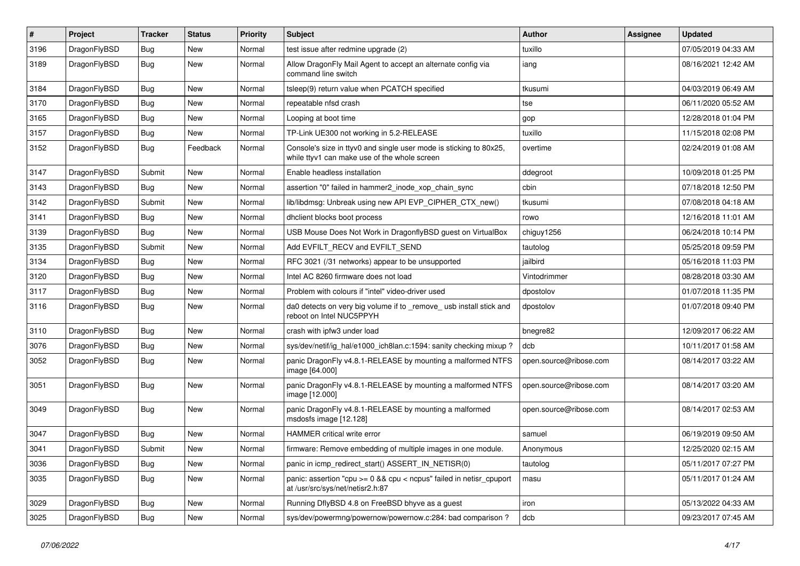| $\pmb{\#}$ | Project      | <b>Tracker</b> | <b>Status</b> | <b>Priority</b> | Subject                                                                                                            | <b>Author</b>          | <b>Assignee</b> | Updated             |
|------------|--------------|----------------|---------------|-----------------|--------------------------------------------------------------------------------------------------------------------|------------------------|-----------------|---------------------|
| 3196       | DragonFlyBSD | Bug            | <b>New</b>    | Normal          | test issue after redmine upgrade (2)                                                                               | tuxillo                |                 | 07/05/2019 04:33 AM |
| 3189       | DragonFlyBSD | <b>Bug</b>     | New           | Normal          | Allow DragonFly Mail Agent to accept an alternate config via<br>command line switch                                | iang                   |                 | 08/16/2021 12:42 AM |
| 3184       | DragonFlyBSD | <b>Bug</b>     | <b>New</b>    | Normal          | tsleep(9) return value when PCATCH specified                                                                       | tkusumi                |                 | 04/03/2019 06:49 AM |
| 3170       | DragonFlyBSD | <b>Bug</b>     | <b>New</b>    | Normal          | repeatable nfsd crash                                                                                              | tse                    |                 | 06/11/2020 05:52 AM |
| 3165       | DragonFlyBSD | Bug            | <b>New</b>    | Normal          | Looping at boot time                                                                                               | gop                    |                 | 12/28/2018 01:04 PM |
| 3157       | DragonFlyBSD | Bug            | New           | Normal          | TP-Link UE300 not working in 5.2-RELEASE                                                                           | tuxillo                |                 | 11/15/2018 02:08 PM |
| 3152       | DragonFlyBSD | Bug            | Feedback      | Normal          | Console's size in ttyv0 and single user mode is sticking to 80x25,<br>while ttyv1 can make use of the whole screen | overtime               |                 | 02/24/2019 01:08 AM |
| 3147       | DragonFlyBSD | Submit         | <b>New</b>    | Normal          | Enable headless installation                                                                                       | ddegroot               |                 | 10/09/2018 01:25 PM |
| 3143       | DragonFlyBSD | Bug            | <b>New</b>    | Normal          | assertion "0" failed in hammer2 inode xop chain sync                                                               | cbin                   |                 | 07/18/2018 12:50 PM |
| 3142       | DragonFlyBSD | Submit         | <b>New</b>    | Normal          | lib/libdmsg: Unbreak using new API EVP_CIPHER_CTX_new()                                                            | tkusumi                |                 | 07/08/2018 04:18 AM |
| 3141       | DragonFlyBSD | <b>Bug</b>     | <b>New</b>    | Normal          | dhclient blocks boot process                                                                                       | rowo                   |                 | 12/16/2018 11:01 AM |
| 3139       | DragonFlyBSD | Bug            | <b>New</b>    | Normal          | USB Mouse Does Not Work in DragonflyBSD guest on VirtualBox                                                        | chiguy1256             |                 | 06/24/2018 10:14 PM |
| 3135       | DragonFlyBSD | Submit         | <b>New</b>    | Normal          | Add EVFILT_RECV and EVFILT_SEND                                                                                    | tautolog               |                 | 05/25/2018 09:59 PM |
| 3134       | DragonFlyBSD | Bug            | <b>New</b>    | Normal          | RFC 3021 (/31 networks) appear to be unsupported                                                                   | jailbird               |                 | 05/16/2018 11:03 PM |
| 3120       | DragonFlyBSD | <b>Bug</b>     | <b>New</b>    | Normal          | Intel AC 8260 firmware does not load                                                                               | Vintodrimmer           |                 | 08/28/2018 03:30 AM |
| 3117       | DragonFlyBSD | Bug            | New           | Normal          | Problem with colours if "intel" video-driver used                                                                  | dpostolov              |                 | 01/07/2018 11:35 PM |
| 3116       | DragonFlyBSD | Bug            | New           | Normal          | da0 detects on very big volume if to remove usb install stick and<br>reboot on Intel NUC5PPYH                      | dpostolov              |                 | 01/07/2018 09:40 PM |
| 3110       | DragonFlyBSD | <b>Bug</b>     | <b>New</b>    | Normal          | crash with ipfw3 under load                                                                                        | bnegre82               |                 | 12/09/2017 06:22 AM |
| 3076       | DragonFlyBSD | Bug            | <b>New</b>    | Normal          | sys/dev/netif/ig_hal/e1000_ich8lan.c:1594: sanity checking mixup?                                                  | dcb                    |                 | 10/11/2017 01:58 AM |
| 3052       | DragonFlyBSD | <b>Bug</b>     | <b>New</b>    | Normal          | panic DragonFly v4.8.1-RELEASE by mounting a malformed NTFS<br>image [64.000]                                      | open.source@ribose.com |                 | 08/14/2017 03:22 AM |
| 3051       | DragonFlyBSD | Bug            | <b>New</b>    | Normal          | panic DragonFly v4.8.1-RELEASE by mounting a malformed NTFS<br>image [12.000]                                      | open.source@ribose.com |                 | 08/14/2017 03:20 AM |
| 3049       | DragonFlyBSD | Bug            | <b>New</b>    | Normal          | panic DragonFly v4.8.1-RELEASE by mounting a malformed<br>msdosfs image [12.128]                                   | open.source@ribose.com |                 | 08/14/2017 02:53 AM |
| 3047       | DragonFlyBSD | <b>Bug</b>     | <b>New</b>    | Normal          | <b>HAMMER</b> critical write error                                                                                 | samuel                 |                 | 06/19/2019 09:50 AM |
| 3041       | DragonFlyBSD | Submit         | <b>New</b>    | Normal          | firmware: Remove embedding of multiple images in one module.                                                       | Anonymous              |                 | 12/25/2020 02:15 AM |
| 3036       | DragonFlyBSD | Bug            | New           | Normal          | panic in icmp_redirect_start() ASSERT_IN_NETISR(0)                                                                 | tautolog               |                 | 05/11/2017 07:27 PM |
| 3035       | DragonFlyBSD | <b>Bug</b>     | New           | Normal          | panic: assertion "cpu >= 0 && cpu < ncpus" failed in netisr_cpuport<br>at /usr/src/sys/net/netisr2.h:87            | masu                   |                 | 05/11/2017 01:24 AM |
| 3029       | DragonFlyBSD | Bug            | New           | Normal          | Running DflyBSD 4.8 on FreeBSD bhyve as a guest                                                                    | iron                   |                 | 05/13/2022 04:33 AM |
| 3025       | DragonFlyBSD | <b>Bug</b>     | New           | Normal          | sys/dev/powermng/powernow/powernow.c:284: bad comparison?                                                          | dcb                    |                 | 09/23/2017 07:45 AM |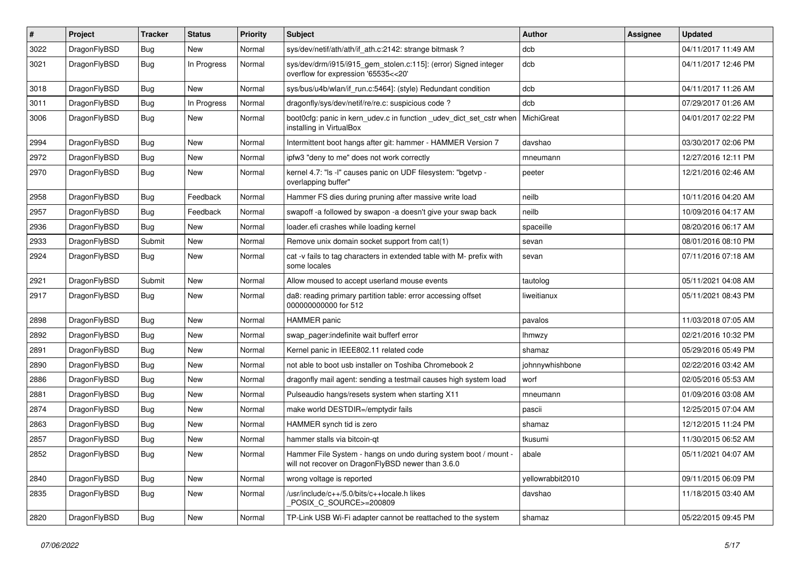| #    | Project      | <b>Tracker</b> | <b>Status</b> | <b>Priority</b> | Subject                                                                                                              | <b>Author</b>    | Assignee | <b>Updated</b>      |
|------|--------------|----------------|---------------|-----------------|----------------------------------------------------------------------------------------------------------------------|------------------|----------|---------------------|
| 3022 | DragonFlyBSD | <b>Bug</b>     | <b>New</b>    | Normal          | sys/dev/netif/ath/ath/if ath.c:2142: strange bitmask?                                                                | dcb              |          | 04/11/2017 11:49 AM |
| 3021 | DragonFlyBSD | <b>Bug</b>     | In Progress   | Normal          | sys/dev/drm/i915/i915_gem_stolen.c:115]: (error) Signed integer<br>overflow for expression '65535<<20'               | dcb              |          | 04/11/2017 12:46 PM |
| 3018 | DragonFlyBSD | Bug            | New           | Normal          | sys/bus/u4b/wlan/if_run.c:5464]: (style) Redundant condition                                                         | dcb              |          | 04/11/2017 11:26 AM |
| 3011 | DragonFlyBSD | Bug            | In Progress   | Normal          | dragonfly/sys/dev/netif/re/re.c: suspicious code?                                                                    | dcb              |          | 07/29/2017 01:26 AM |
| 3006 | DragonFlyBSD | Bug            | New           | Normal          | boot0cfg: panic in kern_udev.c in function _udev_dict_set_cstr when<br>installing in VirtualBox                      | MichiGreat       |          | 04/01/2017 02:22 PM |
| 2994 | DragonFlyBSD | Bug            | New           | Normal          | Intermittent boot hangs after git: hammer - HAMMER Version 7                                                         | davshao          |          | 03/30/2017 02:06 PM |
| 2972 | DragonFlyBSD | Bug            | New           | Normal          | ipfw3 "deny to me" does not work correctly                                                                           | mneumann         |          | 12/27/2016 12:11 PM |
| 2970 | DragonFlyBSD | Bug            | New           | Normal          | kernel 4.7: "Is -l" causes panic on UDF filesystem: "bgetvp -<br>overlapping buffer"                                 | peeter           |          | 12/21/2016 02:46 AM |
| 2958 | DragonFlyBSD | Bug            | Feedback      | Normal          | Hammer FS dies during pruning after massive write load                                                               | neilb            |          | 10/11/2016 04:20 AM |
| 2957 | DragonFlyBSD | Bug            | Feedback      | Normal          | swapoff -a followed by swapon -a doesn't give your swap back                                                         | neilb            |          | 10/09/2016 04:17 AM |
| 2936 | DragonFlyBSD | Bug            | <b>New</b>    | Normal          | loader.efi crashes while loading kernel                                                                              | spaceille        |          | 08/20/2016 06:17 AM |
| 2933 | DragonFlyBSD | Submit         | New           | Normal          | Remove unix domain socket support from cat(1)                                                                        | sevan            |          | 08/01/2016 08:10 PM |
| 2924 | DragonFlyBSD | Bug            | <b>New</b>    | Normal          | cat -v fails to tag characters in extended table with M- prefix with<br>some locales                                 | sevan            |          | 07/11/2016 07:18 AM |
| 2921 | DragonFlyBSD | Submit         | New           | Normal          | Allow moused to accept userland mouse events                                                                         | tautolog         |          | 05/11/2021 04:08 AM |
| 2917 | DragonFlyBSD | Bug            | New           | Normal          | da8: reading primary partition table: error accessing offset<br>000000000000 for 512                                 | liweitianux      |          | 05/11/2021 08:43 PM |
| 2898 | DragonFlyBSD | Bug            | New           | Normal          | <b>HAMMER</b> panic                                                                                                  | pavalos          |          | 11/03/2018 07:05 AM |
| 2892 | DragonFlyBSD | Bug            | New           | Normal          | swap pager:indefinite wait bufferf error                                                                             | lhmwzy           |          | 02/21/2016 10:32 PM |
| 2891 | DragonFlyBSD | Bug            | New           | Normal          | Kernel panic in IEEE802.11 related code                                                                              | shamaz           |          | 05/29/2016 05:49 PM |
| 2890 | DragonFlyBSD | Bug            | New           | Normal          | not able to boot usb installer on Toshiba Chromebook 2                                                               | johnnywhishbone  |          | 02/22/2016 03:42 AM |
| 2886 | DragonFlyBSD | Bug            | New           | Normal          | dragonfly mail agent: sending a testmail causes high system load                                                     | worf             |          | 02/05/2016 05:53 AM |
| 2881 | DragonFlyBSD | Bug            | <b>New</b>    | Normal          | Pulseaudio hangs/resets system when starting X11                                                                     | mneumann         |          | 01/09/2016 03:08 AM |
| 2874 | DragonFlyBSD | Bug            | New           | Normal          | make world DESTDIR=/emptydir fails                                                                                   | pascii           |          | 12/25/2015 07:04 AM |
| 2863 | DragonFlyBSD | Bug            | New           | Normal          | HAMMER synch tid is zero                                                                                             | shamaz           |          | 12/12/2015 11:24 PM |
| 2857 | DragonFlyBSD | <b>Bug</b>     | New           | Normal          | hammer stalls via bitcoin-qt                                                                                         | tkusumi          |          | 11/30/2015 06:52 AM |
| 2852 | DragonFlyBSD | <b>Bug</b>     | New           | Normal          | Hammer File System - hangs on undo during system boot / mount -<br>will not recover on DragonFlyBSD newer than 3.6.0 | abale            |          | 05/11/2021 04:07 AM |
| 2840 | DragonFlyBSD | Bug            | <b>New</b>    | Normal          | wrong voltage is reported                                                                                            | yellowrabbit2010 |          | 09/11/2015 06:09 PM |
| 2835 | DragonFlyBSD | <b>Bug</b>     | New           | Normal          | /usr/include/c++/5.0/bits/c++locale.h likes<br>POSIX C SOURCE>=200809                                                | davshao          |          | 11/18/2015 03:40 AM |
| 2820 | DragonFlyBSD | <b>Bug</b>     | New           | Normal          | TP-Link USB Wi-Fi adapter cannot be reattached to the system                                                         | shamaz           |          | 05/22/2015 09:45 PM |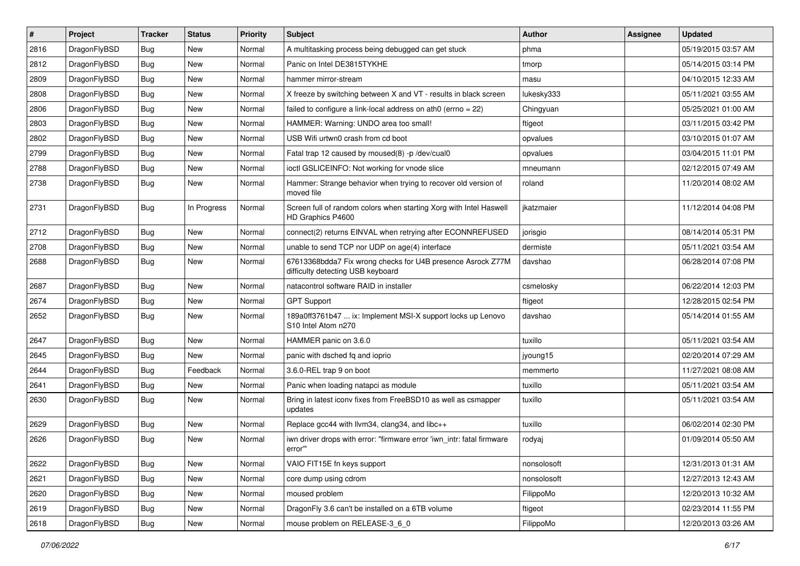| $\pmb{\#}$ | Project      | <b>Tracker</b> | <b>Status</b> | <b>Priority</b> | Subject                                                                                          | Author      | Assignee | <b>Updated</b>      |
|------------|--------------|----------------|---------------|-----------------|--------------------------------------------------------------------------------------------------|-------------|----------|---------------------|
| 2816       | DragonFlyBSD | Bug            | <b>New</b>    | Normal          | A multitasking process being debugged can get stuck                                              | phma        |          | 05/19/2015 03:57 AM |
| 2812       | DragonFlyBSD | Bug            | <b>New</b>    | Normal          | Panic on Intel DE3815TYKHE                                                                       | tmorp       |          | 05/14/2015 03:14 PM |
| 2809       | DragonFlyBSD | <b>Bug</b>     | <b>New</b>    | Normal          | hammer mirror-stream                                                                             | masu        |          | 04/10/2015 12:33 AM |
| 2808       | DragonFlyBSD | <b>Bug</b>     | New           | Normal          | X freeze by switching between X and VT - results in black screen                                 | lukesky333  |          | 05/11/2021 03:55 AM |
| 2806       | DragonFlyBSD | <b>Bug</b>     | <b>New</b>    | Normal          | failed to configure a link-local address on ath0 (errno = 22)                                    | Chingyuan   |          | 05/25/2021 01:00 AM |
| 2803       | DragonFlyBSD | <b>Bug</b>     | New           | Normal          | HAMMER: Warning: UNDO area too small!                                                            | ftigeot     |          | 03/11/2015 03:42 PM |
| 2802       | DragonFlyBSD | Bug            | <b>New</b>    | Normal          | USB Wifi urtwn0 crash from cd boot                                                               | opvalues    |          | 03/10/2015 01:07 AM |
| 2799       | DragonFlyBSD | Bug            | <b>New</b>    | Normal          | Fatal trap 12 caused by moused(8) -p/dev/cual0                                                   | opvalues    |          | 03/04/2015 11:01 PM |
| 2788       | DragonFlyBSD | <b>Bug</b>     | <b>New</b>    | Normal          | ioctl GSLICEINFO: Not working for vnode slice                                                    | mneumann    |          | 02/12/2015 07:49 AM |
| 2738       | DragonFlyBSD | Bug            | <b>New</b>    | Normal          | Hammer: Strange behavior when trying to recover old version of<br>moved file                     | roland      |          | 11/20/2014 08:02 AM |
| 2731       | DragonFlyBSD | Bug            | In Progress   | Normal          | Screen full of random colors when starting Xorg with Intel Haswell<br>HD Graphics P4600          | jkatzmaier  |          | 11/12/2014 04:08 PM |
| 2712       | DragonFlyBSD | Bug            | <b>New</b>    | Normal          | connect(2) returns EINVAL when retrying after ECONNREFUSED                                       | jorisgio    |          | 08/14/2014 05:31 PM |
| 2708       | DragonFlyBSD | Bug            | <b>New</b>    | Normal          | unable to send TCP nor UDP on age(4) interface                                                   | dermiste    |          | 05/11/2021 03:54 AM |
| 2688       | DragonFlyBSD | Bug            | <b>New</b>    | Normal          | 67613368bdda7 Fix wrong checks for U4B presence Asrock Z77M<br>difficulty detecting USB keyboard | davshao     |          | 06/28/2014 07:08 PM |
| 2687       | DragonFlyBSD | Bug            | <b>New</b>    | Normal          | natacontrol software RAID in installer                                                           | csmelosky   |          | 06/22/2014 12:03 PM |
| 2674       | DragonFlyBSD | <b>Bug</b>     | <b>New</b>    | Normal          | <b>GPT Support</b>                                                                               | ftigeot     |          | 12/28/2015 02:54 PM |
| 2652       | DragonFlyBSD | Bug            | New           | Normal          | 189a0ff3761b47  ix: Implement MSI-X support locks up Lenovo<br>S10 Intel Atom n270               | davshao     |          | 05/14/2014 01:55 AM |
| 2647       | DragonFlyBSD | Bug            | <b>New</b>    | Normal          | HAMMER panic on 3.6.0                                                                            | tuxillo     |          | 05/11/2021 03:54 AM |
| 2645       | DragonFlyBSD | Bug            | <b>New</b>    | Normal          | panic with dsched fq and ioprio                                                                  | jyoung15    |          | 02/20/2014 07:29 AM |
| 2644       | DragonFlyBSD | Bug            | Feedback      | Normal          | 3.6.0-REL trap 9 on boot                                                                         | memmerto    |          | 11/27/2021 08:08 AM |
| 2641       | DragonFlyBSD | <b>Bug</b>     | <b>New</b>    | Normal          | Panic when loading natapci as module                                                             | tuxillo     |          | 05/11/2021 03:54 AM |
| 2630       | DragonFlyBSD | Bug            | <b>New</b>    | Normal          | Bring in latest iconv fixes from FreeBSD10 as well as csmapper<br>updates                        | tuxillo     |          | 05/11/2021 03:54 AM |
| 2629       | DragonFlyBSD | Bug            | <b>New</b>    | Normal          | Replace gcc44 with llvm34, clang34, and libc++                                                   | tuxillo     |          | 06/02/2014 02:30 PM |
| 2626       | DragonFlyBSD | Bug            | <b>New</b>    | Normal          | iwn driver drops with error: "firmware error 'iwn intr: fatal firmware<br>error"                 | rodyaj      |          | 01/09/2014 05:50 AM |
| 2622       | DragonFlyBSD | Bug            | <b>New</b>    | Normal          | VAIO FIT15E fn keys support                                                                      | nonsolosoft |          | 12/31/2013 01:31 AM |
| 2621       | DragonFlyBSD | Bug            | New           | Normal          | core dump using cdrom                                                                            | nonsolosoft |          | 12/27/2013 12:43 AM |
| 2620       | DragonFlyBSD | <b>Bug</b>     | New           | Normal          | moused problem                                                                                   | FilippoMo   |          | 12/20/2013 10:32 AM |
| 2619       | DragonFlyBSD | Bug            | New           | Normal          | DragonFly 3.6 can't be installed on a 6TB volume                                                 | ftigeot     |          | 02/23/2014 11:55 PM |
| 2618       | DragonFlyBSD | Bug            | New           | Normal          | mouse problem on RELEASE-3_6_0                                                                   | FilippoMo   |          | 12/20/2013 03:26 AM |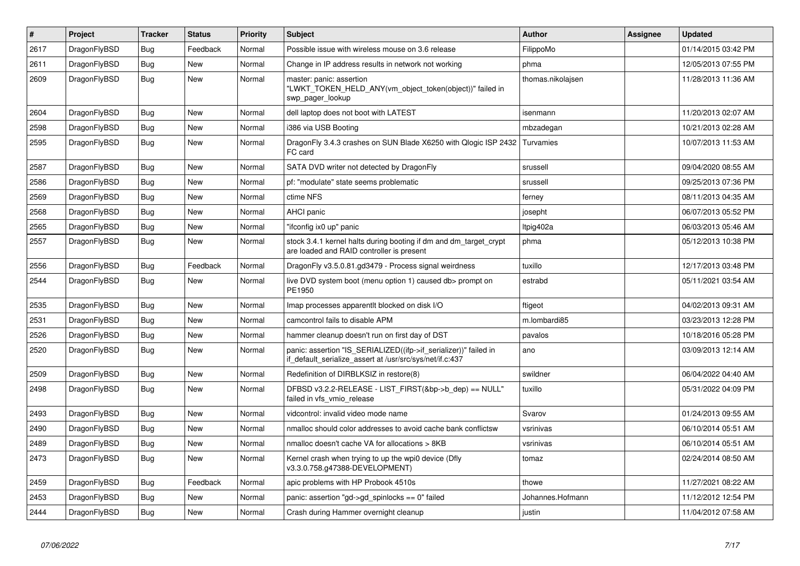| $\vert$ # | <b>Project</b> | <b>Tracker</b> | <b>Status</b> | <b>Priority</b> | <b>Subject</b>                                                                                                               | <b>Author</b>     | Assignee | <b>Updated</b>      |
|-----------|----------------|----------------|---------------|-----------------|------------------------------------------------------------------------------------------------------------------------------|-------------------|----------|---------------------|
| 2617      | DragonFlyBSD   | Bug            | Feedback      | Normal          | Possible issue with wireless mouse on 3.6 release                                                                            | FilippoMo         |          | 01/14/2015 03:42 PM |
| 2611      | DragonFlyBSD   | Bug            | <b>New</b>    | Normal          | Change in IP address results in network not working                                                                          | phma              |          | 12/05/2013 07:55 PM |
| 2609      | DragonFlyBSD   | Bug            | New           | Normal          | master: panic: assertion<br>"LWKT_TOKEN_HELD_ANY(vm_object_token(object))" failed in<br>swp_pager_lookup                     | thomas.nikolajsen |          | 11/28/2013 11:36 AM |
| 2604      | DragonFlyBSD   | <b>Bug</b>     | <b>New</b>    | Normal          | dell laptop does not boot with LATEST                                                                                        | isenmann          |          | 11/20/2013 02:07 AM |
| 2598      | DragonFlyBSD   | Bug            | <b>New</b>    | Normal          | i386 via USB Booting                                                                                                         | mbzadegan         |          | 10/21/2013 02:28 AM |
| 2595      | DragonFlyBSD   | <b>Bug</b>     | <b>New</b>    | Normal          | DragonFly 3.4.3 crashes on SUN Blade X6250 with Qlogic ISP 2432<br>FC card                                                   | Turvamies         |          | 10/07/2013 11:53 AM |
| 2587      | DragonFlyBSD   | Bug            | <b>New</b>    | Normal          | SATA DVD writer not detected by DragonFly                                                                                    | srussell          |          | 09/04/2020 08:55 AM |
| 2586      | DragonFlyBSD   | <b>Bug</b>     | New           | Normal          | pf: "modulate" state seems problematic                                                                                       | srussell          |          | 09/25/2013 07:36 PM |
| 2569      | DragonFlyBSD   | Bug            | <b>New</b>    | Normal          | ctime NFS                                                                                                                    | ferney            |          | 08/11/2013 04:35 AM |
| 2568      | DragonFlyBSD   | Bug            | <b>New</b>    | Normal          | AHCI panic                                                                                                                   | josepht           |          | 06/07/2013 05:52 PM |
| 2565      | DragonFlyBSD   | <b>Bug</b>     | <b>New</b>    | Normal          | "ifconfig ix0 up" panic                                                                                                      | Itpig402a         |          | 06/03/2013 05:46 AM |
| 2557      | DragonFlyBSD   | <b>Bug</b>     | <b>New</b>    | Normal          | stock 3.4.1 kernel halts during booting if dm and dm_target_crypt<br>are loaded and RAID controller is present               | phma              |          | 05/12/2013 10:38 PM |
| 2556      | DragonFlyBSD   | <b>Bug</b>     | Feedback      | Normal          | DragonFly v3.5.0.81.gd3479 - Process signal weirdness                                                                        | tuxillo           |          | 12/17/2013 03:48 PM |
| 2544      | DragonFlyBSD   | <b>Bug</b>     | <b>New</b>    | Normal          | live DVD system boot (menu option 1) caused db> prompt on<br>PE1950                                                          | estrabd           |          | 05/11/2021 03:54 AM |
| 2535      | DragonFlyBSD   | <b>Bug</b>     | <b>New</b>    | Normal          | Imap processes apparentit blocked on disk I/O                                                                                | ftigeot           |          | 04/02/2013 09:31 AM |
| 2531      | DragonFlyBSD   | <b>Bug</b>     | <b>New</b>    | Normal          | camcontrol fails to disable APM                                                                                              | m.lombardi85      |          | 03/23/2013 12:28 PM |
| 2526      | DragonFlyBSD   | Bug            | <b>New</b>    | Normal          | hammer cleanup doesn't run on first day of DST                                                                               | pavalos           |          | 10/18/2016 05:28 PM |
| 2520      | DragonFlyBSD   | <b>Bug</b>     | <b>New</b>    | Normal          | panic: assertion "IS_SERIALIZED((ifp->if_serializer))" failed in<br>if default serialize assert at /usr/src/sys/net/if.c:437 | ano               |          | 03/09/2013 12:14 AM |
| 2509      | DragonFlyBSD   | Bug            | <b>New</b>    | Normal          | Redefinition of DIRBLKSIZ in restore(8)                                                                                      | swildner          |          | 06/04/2022 04:40 AM |
| 2498      | DragonFlyBSD   | <b>Bug</b>     | New           | Normal          | DFBSD v3.2.2-RELEASE - LIST_FIRST(&bp->b_dep) == NULL"<br>failed in vfs vmio release                                         | tuxillo           |          | 05/31/2022 04:09 PM |
| 2493      | DragonFlyBSD   | Bug            | New           | Normal          | vidcontrol: invalid video mode name                                                                                          | Svarov            |          | 01/24/2013 09:55 AM |
| 2490      | DragonFlyBSD   | Bug            | New           | Normal          | nmalloc should color addresses to avoid cache bank conflictsw                                                                | vsrinivas         |          | 06/10/2014 05:51 AM |
| 2489      | DragonFlyBSD   | <b>Bug</b>     | New           | Normal          | nmalloc doesn't cache VA for allocations > 8KB                                                                               | vsrinivas         |          | 06/10/2014 05:51 AM |
| 2473      | DragonFlyBSD   | Bug            | New           | Normal          | Kernel crash when trying to up the wpi0 device (Dfly<br>v3.3.0.758.g47388-DEVELOPMENT)                                       | tomaz             |          | 02/24/2014 08:50 AM |
| 2459      | DragonFlyBSD   | <b>Bug</b>     | Feedback      | Normal          | apic problems with HP Probook 4510s                                                                                          | thowe             |          | 11/27/2021 08:22 AM |
| 2453      | DragonFlyBSD   | Bug            | New           | Normal          | panic: assertion "gd->gd spinlocks == $0$ " failed                                                                           | Johannes.Hofmann  |          | 11/12/2012 12:54 PM |
| 2444      | DragonFlyBSD   | Bug            | <b>New</b>    | Normal          | Crash during Hammer overnight cleanup                                                                                        | justin            |          | 11/04/2012 07:58 AM |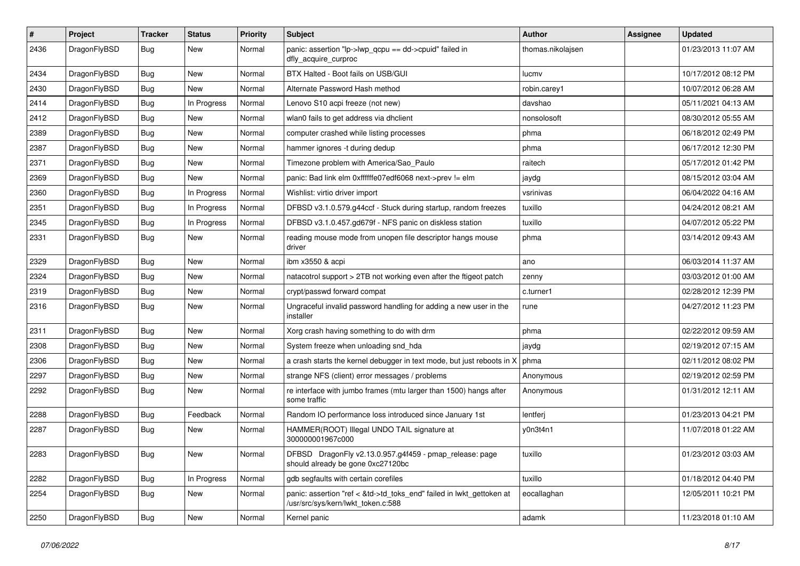| $\sharp$ | Project      | <b>Tracker</b> | <b>Status</b> | <b>Priority</b> | Subject                                                                                                    | <b>Author</b>     | <b>Assignee</b> | <b>Updated</b>      |
|----------|--------------|----------------|---------------|-----------------|------------------------------------------------------------------------------------------------------------|-------------------|-----------------|---------------------|
| 2436     | DragonFlyBSD | Bug            | New           | Normal          | panic: assertion "lp->lwp_qcpu == dd->cpuid" failed in<br>dfly_acquire_curproc                             | thomas.nikolajsen |                 | 01/23/2013 11:07 AM |
| 2434     | DragonFlyBSD | <b>Bug</b>     | New           | Normal          | BTX Halted - Boot fails on USB/GUI                                                                         | lucmv             |                 | 10/17/2012 08:12 PM |
| 2430     | DragonFlyBSD | <b>Bug</b>     | <b>New</b>    | Normal          | Alternate Password Hash method                                                                             | robin.carey1      |                 | 10/07/2012 06:28 AM |
| 2414     | DragonFlyBSD | <b>Bug</b>     | In Progress   | Normal          | Lenovo S10 acpi freeze (not new)                                                                           | davshao           |                 | 05/11/2021 04:13 AM |
| 2412     | DragonFlyBSD | <b>Bug</b>     | <b>New</b>    | Normal          | wlan0 fails to get address via dhclient                                                                    | nonsolosoft       |                 | 08/30/2012 05:55 AM |
| 2389     | DragonFlyBSD | <b>Bug</b>     | <b>New</b>    | Normal          | computer crashed while listing processes                                                                   | phma              |                 | 06/18/2012 02:49 PM |
| 2387     | DragonFlyBSD | <b>Bug</b>     | <b>New</b>    | Normal          | hammer ignores -t during dedup                                                                             | phma              |                 | 06/17/2012 12:30 PM |
| 2371     | DragonFlyBSD | <b>Bug</b>     | New           | Normal          | Timezone problem with America/Sao_Paulo                                                                    | raitech           |                 | 05/17/2012 01:42 PM |
| 2369     | DragonFlyBSD | <b>Bug</b>     | <b>New</b>    | Normal          | panic: Bad link elm 0xffffffe07edf6068 next->prev != elm                                                   | jaydg             |                 | 08/15/2012 03:04 AM |
| 2360     | DragonFlyBSD | <b>Bug</b>     | In Progress   | Normal          | Wishlist: virtio driver import                                                                             | vsrinivas         |                 | 06/04/2022 04:16 AM |
| 2351     | DragonFlyBSD | <b>Bug</b>     | In Progress   | Normal          | DFBSD v3.1.0.579.g44ccf - Stuck during startup, random freezes                                             | tuxillo           |                 | 04/24/2012 08:21 AM |
| 2345     | DragonFlyBSD | Bug            | In Progress   | Normal          | DFBSD v3.1.0.457.gd679f - NFS panic on diskless station                                                    | tuxillo           |                 | 04/07/2012 05:22 PM |
| 2331     | DragonFlyBSD | <b>Bug</b>     | New           | Normal          | reading mouse mode from unopen file descriptor hangs mouse<br>driver                                       | phma              |                 | 03/14/2012 09:43 AM |
| 2329     | DragonFlyBSD | <b>Bug</b>     | <b>New</b>    | Normal          | ibm x3550 & acpi                                                                                           | ano               |                 | 06/03/2014 11:37 AM |
| 2324     | DragonFlyBSD | <b>Bug</b>     | <b>New</b>    | Normal          | natacotrol support > 2TB not working even after the ftigeot patch                                          | zenny             |                 | 03/03/2012 01:00 AM |
| 2319     | DragonFlyBSD | <b>Bug</b>     | <b>New</b>    | Normal          | crypt/passwd forward compat                                                                                | c.turner1         |                 | 02/28/2012 12:39 PM |
| 2316     | DragonFlyBSD | <b>Bug</b>     | New           | Normal          | Ungraceful invalid password handling for adding a new user in the<br>installer                             | rune              |                 | 04/27/2012 11:23 PM |
| 2311     | DragonFlyBSD | <b>Bug</b>     | <b>New</b>    | Normal          | Xorg crash having something to do with drm                                                                 | phma              |                 | 02/22/2012 09:59 AM |
| 2308     | DragonFlyBSD | <b>Bug</b>     | New           | Normal          | System freeze when unloading snd_hda                                                                       | jaydg             |                 | 02/19/2012 07:15 AM |
| 2306     | DragonFlyBSD | <b>Bug</b>     | <b>New</b>    | Normal          | a crash starts the kernel debugger in text mode, but just reboots in X                                     | phma              |                 | 02/11/2012 08:02 PM |
| 2297     | DragonFlyBSD | <b>Bug</b>     | New           | Normal          | strange NFS (client) error messages / problems                                                             | Anonymous         |                 | 02/19/2012 02:59 PM |
| 2292     | DragonFlyBSD | <b>Bug</b>     | New           | Normal          | re interface with jumbo frames (mtu larger than 1500) hangs after<br>some traffic                          | Anonymous         |                 | 01/31/2012 12:11 AM |
| 2288     | DragonFlyBSD | Bug            | Feedback      | Normal          | Random IO performance loss introduced since January 1st                                                    | lentferj          |                 | 01/23/2013 04:21 PM |
| 2287     | DragonFlyBSD | <b>Bug</b>     | New           | Normal          | HAMMER(ROOT) Illegal UNDO TAIL signature at<br>300000001967c000                                            | y0n3t4n1          |                 | 11/07/2018 01:22 AM |
| 2283     | DragonFlyBSD | <b>Bug</b>     | New           | Normal          | DFBSD DragonFly v2.13.0.957.g4f459 - pmap_release: page<br>should already be gone 0xc27120bc               | tuxillo           |                 | 01/23/2012 03:03 AM |
| 2282     | DragonFlyBSD | Bug            | In Progress   | Normal          | gdb segfaults with certain corefiles                                                                       | tuxillo           |                 | 01/18/2012 04:40 PM |
| 2254     | DragonFlyBSD | <b>Bug</b>     | New           | Normal          | panic: assertion "ref < &td->td_toks_end" failed in lwkt_gettoken at<br>/usr/src/sys/kern/lwkt_token.c:588 | eocallaghan       |                 | 12/05/2011 10:21 PM |
| 2250     | DragonFlyBSD | <b>Bug</b>     | New           | Normal          | Kernel panic                                                                                               | adamk             |                 | 11/23/2018 01:10 AM |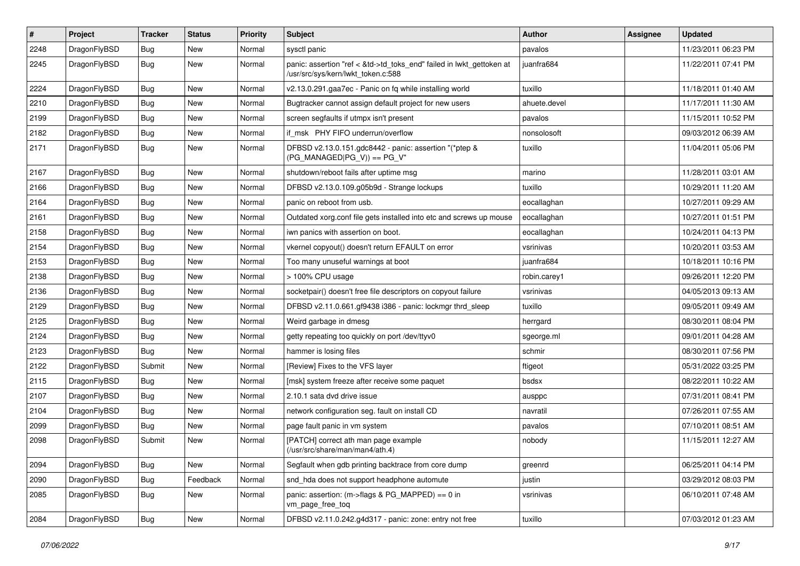| $\sharp$ | Project      | <b>Tracker</b> | <b>Status</b> | <b>Priority</b> | Subject                                                                                                    | <b>Author</b> | <b>Assignee</b> | <b>Updated</b>      |
|----------|--------------|----------------|---------------|-----------------|------------------------------------------------------------------------------------------------------------|---------------|-----------------|---------------------|
| 2248     | DragonFlyBSD | <b>Bug</b>     | <b>New</b>    | Normal          | sysctl panic                                                                                               | pavalos       |                 | 11/23/2011 06:23 PM |
| 2245     | DragonFlyBSD | <b>Bug</b>     | <b>New</b>    | Normal          | panic: assertion "ref < &td->td_toks_end" failed in lwkt_gettoken at<br>/usr/src/sys/kern/lwkt token.c:588 | juanfra684    |                 | 11/22/2011 07:41 PM |
| 2224     | DragonFlyBSD | <b>Bug</b>     | New           | Normal          | v2.13.0.291.gaa7ec - Panic on fq while installing world                                                    | tuxillo       |                 | 11/18/2011 01:40 AM |
| 2210     | DragonFlyBSD | <b>Bug</b>     | New           | Normal          | Bugtracker cannot assign default project for new users                                                     | ahuete.devel  |                 | 11/17/2011 11:30 AM |
| 2199     | DragonFlyBSD | <b>Bug</b>     | New           | Normal          | screen segfaults if utmpx isn't present                                                                    | pavalos       |                 | 11/15/2011 10:52 PM |
| 2182     | DragonFlyBSD | <b>Bug</b>     | <b>New</b>    | Normal          | if msk PHY FIFO underrun/overflow                                                                          | nonsolosoft   |                 | 09/03/2012 06:39 AM |
| 2171     | DragonFlyBSD | <b>Bug</b>     | <b>New</b>    | Normal          | DFBSD v2.13.0.151.gdc8442 - panic: assertion "(*ptep &<br>$(PG_MANAGED PG_V)) == PG_V"$                    | tuxillo       |                 | 11/04/2011 05:06 PM |
| 2167     | DragonFlyBSD | <b>Bug</b>     | <b>New</b>    | Normal          | shutdown/reboot fails after uptime msg                                                                     | marino        |                 | 11/28/2011 03:01 AM |
| 2166     | DragonFlyBSD | <b>Bug</b>     | New           | Normal          | DFBSD v2.13.0.109.g05b9d - Strange lockups                                                                 | tuxillo       |                 | 10/29/2011 11:20 AM |
| 2164     | DragonFlyBSD | <b>Bug</b>     | New           | Normal          | panic on reboot from usb.                                                                                  | eocallaghan   |                 | 10/27/2011 09:29 AM |
| 2161     | DragonFlyBSD | <b>Bug</b>     | New           | Normal          | Outdated xorg.conf file gets installed into etc and screws up mouse                                        | eocallaghan   |                 | 10/27/2011 01:51 PM |
| 2158     | DragonFlyBSD | <b>Bug</b>     | New           | Normal          | iwn panics with assertion on boot.                                                                         | eocallaghan   |                 | 10/24/2011 04:13 PM |
| 2154     | DragonFlyBSD | <b>Bug</b>     | <b>New</b>    | Normal          | vkernel copyout() doesn't return EFAULT on error                                                           | vsrinivas     |                 | 10/20/2011 03:53 AM |
| 2153     | DragonFlyBSD | <b>Bug</b>     | New           | Normal          | Too many unuseful warnings at boot                                                                         | juanfra684    |                 | 10/18/2011 10:16 PM |
| 2138     | DragonFlyBSD | <b>Bug</b>     | New           | Normal          | > 100% CPU usage                                                                                           | robin.carey1  |                 | 09/26/2011 12:20 PM |
| 2136     | DragonFlyBSD | <b>Bug</b>     | <b>New</b>    | Normal          | socketpair() doesn't free file descriptors on copyout failure                                              | vsrinivas     |                 | 04/05/2013 09:13 AM |
| 2129     | DragonFlyBSD | <b>Bug</b>     | <b>New</b>    | Normal          | DFBSD v2.11.0.661.gf9438 i386 - panic: lockmgr thrd_sleep                                                  | tuxillo       |                 | 09/05/2011 09:49 AM |
| 2125     | DragonFlyBSD | <b>Bug</b>     | <b>New</b>    | Normal          | Weird garbage in dmesg                                                                                     | herrgard      |                 | 08/30/2011 08:04 PM |
| 2124     | DragonFlyBSD | <b>Bug</b>     | New           | Normal          | getty repeating too quickly on port /dev/ttyv0                                                             | sgeorge.ml    |                 | 09/01/2011 04:28 AM |
| 2123     | DragonFlyBSD | <b>Bug</b>     | New           | Normal          | hammer is losing files                                                                                     | schmir        |                 | 08/30/2011 07:56 PM |
| 2122     | DragonFlyBSD | Submit         | New           | Normal          | [Review] Fixes to the VFS layer                                                                            | ftigeot       |                 | 05/31/2022 03:25 PM |
| 2115     | DragonFlyBSD | <b>Bug</b>     | New           | Normal          | [msk] system freeze after receive some paquet                                                              | bsdsx         |                 | 08/22/2011 10:22 AM |
| 2107     | DragonFlyBSD | <b>Bug</b>     | <b>New</b>    | Normal          | 2.10.1 sata dvd drive issue                                                                                | ausppc        |                 | 07/31/2011 08:41 PM |
| 2104     | DragonFlyBSD | Bug            | New           | Normal          | network configuration seg. fault on install CD                                                             | navratil      |                 | 07/26/2011 07:55 AM |
| 2099     | DragonFlyBSD | Bug            | New           | Normal          | page fault panic in vm system                                                                              | pavalos       |                 | 07/10/2011 08:51 AM |
| 2098     | DragonFlyBSD | Submit         | <b>New</b>    | Normal          | [PATCH] correct ath man page example<br>(/usr/src/share/man/man4/ath.4)                                    | nobody        |                 | 11/15/2011 12:27 AM |
| 2094     | DragonFlyBSD | Bug            | New           | Normal          | Segfault when gdb printing backtrace from core dump                                                        | greenrd       |                 | 06/25/2011 04:14 PM |
| 2090     | DragonFlyBSD | <b>Bug</b>     | Feedback      | Normal          | snd_hda does not support headphone automute                                                                | justin        |                 | 03/29/2012 08:03 PM |
| 2085     | DragonFlyBSD | <b>Bug</b>     | New           | Normal          | panic: assertion: (m->flags & PG_MAPPED) == 0 in<br>vm_page_free_toq                                       | vsrinivas     |                 | 06/10/2011 07:48 AM |
| 2084     | DragonFlyBSD | <b>Bug</b>     | New           | Normal          | DFBSD v2.11.0.242.g4d317 - panic: zone: entry not free                                                     | tuxillo       |                 | 07/03/2012 01:23 AM |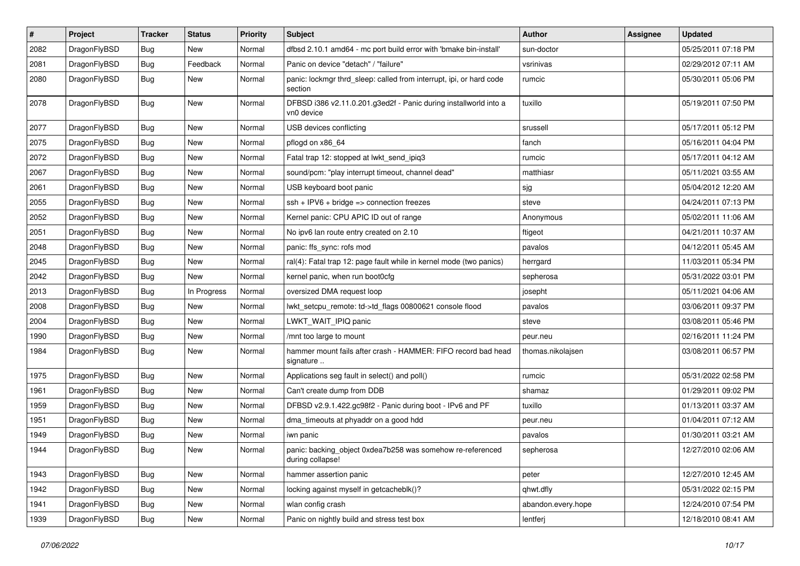| $\sharp$ | Project      | <b>Tracker</b> | <b>Status</b> | <b>Priority</b> | Subject                                                                        | <b>Author</b>      | <b>Assignee</b> | <b>Updated</b>      |
|----------|--------------|----------------|---------------|-----------------|--------------------------------------------------------------------------------|--------------------|-----------------|---------------------|
| 2082     | DragonFlyBSD | Bug            | New           | Normal          | dfbsd 2.10.1 amd64 - mc port build error with 'bmake bin-install'              | sun-doctor         |                 | 05/25/2011 07:18 PM |
| 2081     | DragonFlyBSD | Bug            | Feedback      | Normal          | Panic on device "detach" / "failure"                                           | vsrinivas          |                 | 02/29/2012 07:11 AM |
| 2080     | DragonFlyBSD | <b>Bug</b>     | New           | Normal          | panic: lockmgr thrd_sleep: called from interrupt, ipi, or hard code<br>section | rumcic             |                 | 05/30/2011 05:06 PM |
| 2078     | DragonFlyBSD | <b>Bug</b>     | New           | Normal          | DFBSD i386 v2.11.0.201.g3ed2f - Panic during installworld into a<br>vn0 device | tuxillo            |                 | 05/19/2011 07:50 PM |
| 2077     | DragonFlyBSD | Bug            | New           | Normal          | USB devices conflicting                                                        | srussell           |                 | 05/17/2011 05:12 PM |
| 2075     | DragonFlyBSD | Bug            | <b>New</b>    | Normal          | pflogd on x86 64                                                               | fanch              |                 | 05/16/2011 04:04 PM |
| 2072     | DragonFlyBSD | <b>Bug</b>     | New           | Normal          | Fatal trap 12: stopped at lwkt_send_ipiq3                                      | rumcic             |                 | 05/17/2011 04:12 AM |
| 2067     | DragonFlyBSD | Bug            | <b>New</b>    | Normal          | sound/pcm: "play interrupt timeout, channel dead"                              | matthiasr          |                 | 05/11/2021 03:55 AM |
| 2061     | DragonFlyBSD | Bug            | New           | Normal          | USB keyboard boot panic                                                        | sjg                |                 | 05/04/2012 12:20 AM |
| 2055     | DragonFlyBSD | Bug            | <b>New</b>    | Normal          | $ssh + IPV6 + bridge \Rightarrow$ connection freezes                           | steve              |                 | 04/24/2011 07:13 PM |
| 2052     | DragonFlyBSD | <b>Bug</b>     | New           | Normal          | Kernel panic: CPU APIC ID out of range                                         | Anonymous          |                 | 05/02/2011 11:06 AM |
| 2051     | DragonFlyBSD | Bug            | <b>New</b>    | Normal          | No ipv6 lan route entry created on 2.10                                        | ftigeot            |                 | 04/21/2011 10:37 AM |
| 2048     | DragonFlyBSD | Bug            | <b>New</b>    | Normal          | panic: ffs_sync: rofs mod                                                      | pavalos            |                 | 04/12/2011 05:45 AM |
| 2045     | DragonFlyBSD | <b>Bug</b>     | <b>New</b>    | Normal          | ral(4): Fatal trap 12: page fault while in kernel mode (two panics)            | herrgard           |                 | 11/03/2011 05:34 PM |
| 2042     | DragonFlyBSD | Bug            | New           | Normal          | kernel panic, when run boot0cfg                                                | sepherosa          |                 | 05/31/2022 03:01 PM |
| 2013     | DragonFlyBSD | Bug            | In Progress   | Normal          | oversized DMA request loop                                                     | josepht            |                 | 05/11/2021 04:06 AM |
| 2008     | DragonFlyBSD | <b>Bug</b>     | <b>New</b>    | Normal          | lwkt_setcpu_remote: td->td_flags 00800621 console flood                        | pavalos            |                 | 03/06/2011 09:37 PM |
| 2004     | DragonFlyBSD | Bug            | New           | Normal          | LWKT WAIT IPIQ panic                                                           | steve              |                 | 03/08/2011 05:46 PM |
| 1990     | DragonFlyBSD | <b>Bug</b>     | <b>New</b>    | Normal          | /mnt too large to mount                                                        | peur.neu           |                 | 02/16/2011 11:24 PM |
| 1984     | DragonFlyBSD | Bug            | New           | Normal          | hammer mount fails after crash - HAMMER: FIFO record bad head<br>signature     | thomas.nikolajsen  |                 | 03/08/2011 06:57 PM |
| 1975     | DragonFlyBSD | <b>Bug</b>     | <b>New</b>    | Normal          | Applications seg fault in select() and poll()                                  | rumcic             |                 | 05/31/2022 02:58 PM |
| 1961     | DragonFlyBSD | Bug            | New           | Normal          | Can't create dump from DDB                                                     | shamaz             |                 | 01/29/2011 09:02 PM |
| 1959     | DragonFlyBSD | <b>Bug</b>     | New           | Normal          | DFBSD v2.9.1.422.gc98f2 - Panic during boot - IPv6 and PF                      | tuxillo            |                 | 01/13/2011 03:37 AM |
| 1951     | DragonFlyBSD | Bug            | <b>New</b>    | Normal          | dma_timeouts at phyaddr on a good hdd                                          | peur.neu           |                 | 01/04/2011 07:12 AM |
| 1949     | DragonFlyBSD | Bug            | New           | Normal          | iwn panic                                                                      | pavalos            |                 | 01/30/2011 03:21 AM |
| 1944     | DragonFlyBSD | Bug            | <b>New</b>    | Normal          | panic: backing_object 0xdea7b258 was somehow re-referenced<br>during collapse! | sepherosa          |                 | 12/27/2010 02:06 AM |
| 1943     | DragonFlyBSD | <b>Bug</b>     | <b>New</b>    | Normal          | hammer assertion panic                                                         | peter              |                 | 12/27/2010 12:45 AM |
| 1942     | DragonFlyBSD | <b>Bug</b>     | New           | Normal          | locking against myself in getcacheblk()?                                       | qhwt.dfly          |                 | 05/31/2022 02:15 PM |
| 1941     | DragonFlyBSD | <b>Bug</b>     | New           | Normal          | wlan config crash                                                              | abandon.every.hope |                 | 12/24/2010 07:54 PM |
| 1939     | DragonFlyBSD | <b>Bug</b>     | New           | Normal          | Panic on nightly build and stress test box                                     | lentferj           |                 | 12/18/2010 08:41 AM |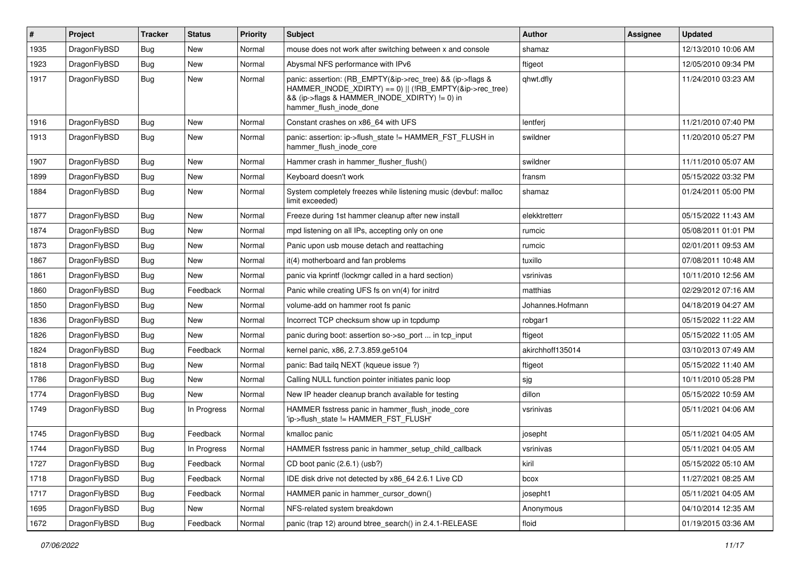| #    | Project      | <b>Tracker</b> | <b>Status</b> | <b>Priority</b> | <b>Subject</b>                                                                                                                                                                                    | <b>Author</b>    | <b>Assignee</b> | <b>Updated</b>      |
|------|--------------|----------------|---------------|-----------------|---------------------------------------------------------------------------------------------------------------------------------------------------------------------------------------------------|------------------|-----------------|---------------------|
| 1935 | DragonFlyBSD | Bug            | <b>New</b>    | Normal          | mouse does not work after switching between x and console                                                                                                                                         | shamaz           |                 | 12/13/2010 10:06 AM |
| 1923 | DragonFlyBSD | Bug            | <b>New</b>    | Normal          | Abysmal NFS performance with IPv6                                                                                                                                                                 | ftigeot          |                 | 12/05/2010 09:34 PM |
| 1917 | DragonFlyBSD | Bug            | New           | Normal          | panic: assertion: (RB_EMPTY(&ip->rec_tree) && (ip->flags &<br>HAMMER INODE XDIRTY) == 0)    (!RB EMPTY(&ip->rec tree)<br>&& (ip->flags & HAMMER_INODE_XDIRTY) != 0) in<br>hammer_flush_inode_done | qhwt.dfly        |                 | 11/24/2010 03:23 AM |
| 1916 | DragonFlyBSD | Bug            | <b>New</b>    | Normal          | Constant crashes on x86_64 with UFS                                                                                                                                                               | lentferj         |                 | 11/21/2010 07:40 PM |
| 1913 | DragonFlyBSD | Bug            | New           | Normal          | panic: assertion: ip->flush_state != HAMMER_FST_FLUSH in<br>hammer_flush_inode_core                                                                                                               | swildner         |                 | 11/20/2010 05:27 PM |
| 1907 | DragonFlyBSD | <b>Bug</b>     | <b>New</b>    | Normal          | Hammer crash in hammer_flusher_flush()                                                                                                                                                            | swildner         |                 | 11/11/2010 05:07 AM |
| 1899 | DragonFlyBSD | <b>Bug</b>     | <b>New</b>    | Normal          | Keyboard doesn't work                                                                                                                                                                             | fransm           |                 | 05/15/2022 03:32 PM |
| 1884 | DragonFlyBSD | Bug            | New           | Normal          | System completely freezes while listening music (devbuf: malloc<br>limit exceeded)                                                                                                                | shamaz           |                 | 01/24/2011 05:00 PM |
| 1877 | DragonFlyBSD | <b>Bug</b>     | <b>New</b>    | Normal          | Freeze during 1st hammer cleanup after new install                                                                                                                                                | elekktretterr    |                 | 05/15/2022 11:43 AM |
| 1874 | DragonFlyBSD | Bug            | <b>New</b>    | Normal          | mpd listening on all IPs, accepting only on one                                                                                                                                                   | rumcic           |                 | 05/08/2011 01:01 PM |
| 1873 | DragonFlyBSD | <b>Bug</b>     | <b>New</b>    | Normal          | Panic upon usb mouse detach and reattaching                                                                                                                                                       | rumcic           |                 | 02/01/2011 09:53 AM |
| 1867 | DragonFlyBSD | Bug            | <b>New</b>    | Normal          | it(4) motherboard and fan problems                                                                                                                                                                | tuxillo          |                 | 07/08/2011 10:48 AM |
| 1861 | DragonFlyBSD | Bug            | New           | Normal          | panic via kprintf (lockmgr called in a hard section)                                                                                                                                              | vsrinivas        |                 | 10/11/2010 12:56 AM |
| 1860 | DragonFlyBSD | <b>Bug</b>     | Feedback      | Normal          | Panic while creating UFS fs on vn(4) for initrd                                                                                                                                                   | matthias         |                 | 02/29/2012 07:16 AM |
| 1850 | DragonFlyBSD | Bug            | <b>New</b>    | Normal          | volume-add on hammer root fs panic                                                                                                                                                                | Johannes.Hofmann |                 | 04/18/2019 04:27 AM |
| 1836 | DragonFlyBSD | Bug            | <b>New</b>    | Normal          | Incorrect TCP checksum show up in tcpdump                                                                                                                                                         | robgar1          |                 | 05/15/2022 11:22 AM |
| 1826 | DragonFlyBSD | <b>Bug</b>     | New           | Normal          | panic during boot: assertion so->so_port  in tcp_input                                                                                                                                            | ftigeot          |                 | 05/15/2022 11:05 AM |
| 1824 | DragonFlyBSD | Bug            | Feedback      | Normal          | kernel panic, x86, 2.7.3.859.ge5104                                                                                                                                                               | akirchhoff135014 |                 | 03/10/2013 07:49 AM |
| 1818 | DragonFlyBSD | <b>Bug</b>     | <b>New</b>    | Normal          | panic: Bad tailq NEXT (kqueue issue ?)                                                                                                                                                            | ftigeot          |                 | 05/15/2022 11:40 AM |
| 1786 | DragonFlyBSD | Bug            | <b>New</b>    | Normal          | Calling NULL function pointer initiates panic loop                                                                                                                                                | sjg              |                 | 10/11/2010 05:28 PM |
| 1774 | DragonFlyBSD | Bug            | <b>New</b>    | Normal          | New IP header cleanup branch available for testing                                                                                                                                                | dillon           |                 | 05/15/2022 10:59 AM |
| 1749 | DragonFlyBSD | <b>Bug</b>     | In Progress   | Normal          | HAMMER fsstress panic in hammer_flush_inode_core<br>'ip->flush_state != HAMMER_FST_FLUSH'                                                                                                         | vsrinivas        |                 | 05/11/2021 04:06 AM |
| 1745 | DragonFlyBSD | <b>Bug</b>     | Feedback      | Normal          | kmalloc panic                                                                                                                                                                                     | josepht          |                 | 05/11/2021 04:05 AM |
| 1744 | DragonFlyBSD | Bug            | In Progress   | Normal          | HAMMER fsstress panic in hammer setup child callback                                                                                                                                              | vsrinivas        |                 | 05/11/2021 04:05 AM |
| 1727 | DragonFlyBSD | Bug            | Feedback      | Normal          | CD boot panic (2.6.1) (usb?)                                                                                                                                                                      | kiril            |                 | 05/15/2022 05:10 AM |
| 1718 | DragonFlyBSD | <b>Bug</b>     | Feedback      | Normal          | IDE disk drive not detected by x86_64 2.6.1 Live CD                                                                                                                                               | bcox             |                 | 11/27/2021 08:25 AM |
| 1717 | DragonFlyBSD | Bug            | Feedback      | Normal          | HAMMER panic in hammer_cursor_down()                                                                                                                                                              | josepht1         |                 | 05/11/2021 04:05 AM |
| 1695 | DragonFlyBSD | <b>Bug</b>     | New           | Normal          | NFS-related system breakdown                                                                                                                                                                      | Anonymous        |                 | 04/10/2014 12:35 AM |
| 1672 | DragonFlyBSD | Bug            | Feedback      | Normal          | panic (trap 12) around btree_search() in 2.4.1-RELEASE                                                                                                                                            | floid            |                 | 01/19/2015 03:36 AM |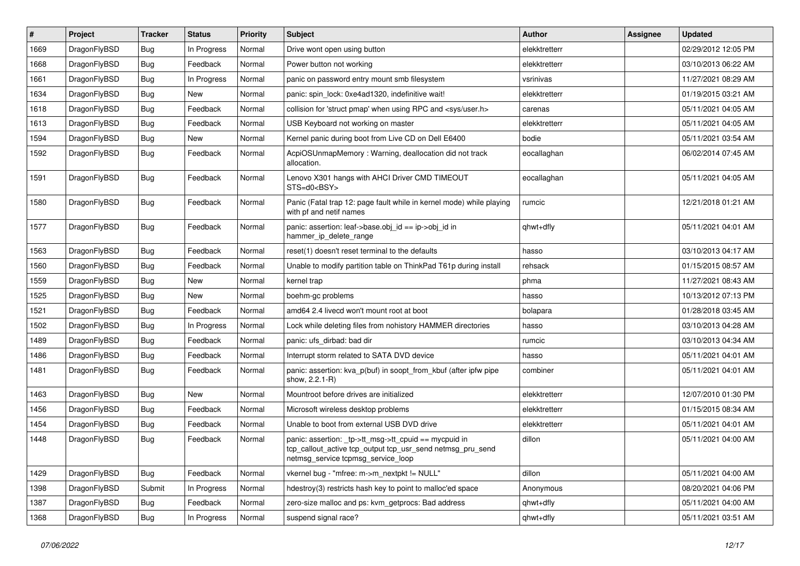| $\vert$ # | Project      | <b>Tracker</b> | <b>Status</b> | <b>Priority</b> | <b>Subject</b>                                                                                                                                            | <b>Author</b> | Assignee | <b>Updated</b>      |
|-----------|--------------|----------------|---------------|-----------------|-----------------------------------------------------------------------------------------------------------------------------------------------------------|---------------|----------|---------------------|
| 1669      | DragonFlyBSD | <b>Bug</b>     | In Progress   | Normal          | Drive wont open using button                                                                                                                              | elekktretterr |          | 02/29/2012 12:05 PM |
| 1668      | DragonFlyBSD | <b>Bug</b>     | Feedback      | Normal          | Power button not working                                                                                                                                  | elekktretterr |          | 03/10/2013 06:22 AM |
| 1661      | DragonFlyBSD | <b>Bug</b>     | In Progress   | Normal          | panic on password entry mount smb filesystem                                                                                                              | vsrinivas     |          | 11/27/2021 08:29 AM |
| 1634      | DragonFlyBSD | Bug            | New           | Normal          | panic: spin lock: 0xe4ad1320, indefinitive wait!                                                                                                          | elekktretterr |          | 01/19/2015 03:21 AM |
| 1618      | DragonFlyBSD | <b>Bug</b>     | Feedback      | Normal          | collision for 'struct pmap' when using RPC and <sys user.h=""></sys>                                                                                      | carenas       |          | 05/11/2021 04:05 AM |
| 1613      | DragonFlyBSD | <b>Bug</b>     | Feedback      | Normal          | USB Keyboard not working on master                                                                                                                        | elekktretterr |          | 05/11/2021 04:05 AM |
| 1594      | DragonFlyBSD | <b>Bug</b>     | <b>New</b>    | Normal          | Kernel panic during boot from Live CD on Dell E6400                                                                                                       | bodie         |          | 05/11/2021 03:54 AM |
| 1592      | DragonFlyBSD | Bug            | Feedback      | Normal          | AcpiOSUnmapMemory: Warning, deallocation did not track<br>allocation.                                                                                     | eocallaghan   |          | 06/02/2014 07:45 AM |
| 1591      | DragonFlyBSD | Bug            | Feedback      | Normal          | Lenovo X301 hangs with AHCI Driver CMD TIMEOUT<br>STS=d0 <bsy></bsy>                                                                                      | eocallaghan   |          | 05/11/2021 04:05 AM |
| 1580      | DragonFlyBSD | <b>Bug</b>     | Feedback      | Normal          | Panic (Fatal trap 12: page fault while in kernel mode) while playing<br>with pf and netif names                                                           | rumcic        |          | 12/21/2018 01:21 AM |
| 1577      | DragonFlyBSD | <b>Bug</b>     | Feedback      | Normal          | panic: assertion: leaf->base.obj_id == ip->obj_id in<br>hammer_ip_delete_range                                                                            | qhwt+dfly     |          | 05/11/2021 04:01 AM |
| 1563      | DragonFlyBSD | <b>Bug</b>     | Feedback      | Normal          | reset(1) doesn't reset terminal to the defaults                                                                                                           | hasso         |          | 03/10/2013 04:17 AM |
| 1560      | DragonFlyBSD | <b>Bug</b>     | Feedback      | Normal          | Unable to modify partition table on ThinkPad T61p during install                                                                                          | rehsack       |          | 01/15/2015 08:57 AM |
| 1559      | DragonFlyBSD | <b>Bug</b>     | <b>New</b>    | Normal          | kernel trap                                                                                                                                               | phma          |          | 11/27/2021 08:43 AM |
| 1525      | DragonFlyBSD | <b>Bug</b>     | <b>New</b>    | Normal          | boehm-gc problems                                                                                                                                         | hasso         |          | 10/13/2012 07:13 PM |
| 1521      | DragonFlyBSD | <b>Bug</b>     | Feedback      | Normal          | amd64 2.4 livecd won't mount root at boot                                                                                                                 | bolapara      |          | 01/28/2018 03:45 AM |
| 1502      | DragonFlyBSD | <b>Bug</b>     | In Progress   | Normal          | Lock while deleting files from nohistory HAMMER directories                                                                                               | hasso         |          | 03/10/2013 04:28 AM |
| 1489      | DragonFlyBSD | <b>Bug</b>     | Feedback      | Normal          | panic: ufs dirbad: bad dir                                                                                                                                | rumcic        |          | 03/10/2013 04:34 AM |
| 1486      | DragonFlyBSD | Bug            | Feedback      | Normal          | Interrupt storm related to SATA DVD device                                                                                                                | hasso         |          | 05/11/2021 04:01 AM |
| 1481      | DragonFlyBSD | Bug            | Feedback      | Normal          | panic: assertion: kva_p(buf) in soopt_from_kbuf (after ipfw pipe<br>show, 2.2.1-R)                                                                        | combiner      |          | 05/11/2021 04:01 AM |
| 1463      | DragonFlyBSD | Bug            | New           | Normal          | Mountroot before drives are initialized                                                                                                                   | elekktretterr |          | 12/07/2010 01:30 PM |
| 1456      | DragonFlyBSD | <b>Bug</b>     | Feedback      | Normal          | Microsoft wireless desktop problems                                                                                                                       | elekktretterr |          | 01/15/2015 08:34 AM |
| 1454      | DragonFlyBSD | <b>Bug</b>     | Feedback      | Normal          | Unable to boot from external USB DVD drive                                                                                                                | elekktretterr |          | 05/11/2021 04:01 AM |
| 1448      | DragonFlyBSD | <b>Bug</b>     | Feedback      | Normal          | panic: assertion: _tp->tt_msg->tt_cpuid == mycpuid in<br>tcp_callout_active tcp_output tcp_usr_send netmsg_pru_send<br>netmsg_service tcpmsg_service_loop | dillon        |          | 05/11/2021 04:00 AM |
| 1429      | DragonFlyBSD | Bug            | Feedback      | Normal          | vkernel bug - "mfree: m->m_nextpkt != NULL"                                                                                                               | dillon        |          | 05/11/2021 04:00 AM |
| 1398      | DragonFlyBSD | Submit         | In Progress   | Normal          | hdestroy(3) restricts hash key to point to malloc'ed space                                                                                                | Anonymous     |          | 08/20/2021 04:06 PM |
| 1387      | DragonFlyBSD | <b>Bug</b>     | Feedback      | Normal          | zero-size malloc and ps: kvm_getprocs: Bad address                                                                                                        | qhwt+dfly     |          | 05/11/2021 04:00 AM |
| 1368      | DragonFlyBSD | <b>Bug</b>     | In Progress   | Normal          | suspend signal race?                                                                                                                                      | qhwt+dfly     |          | 05/11/2021 03:51 AM |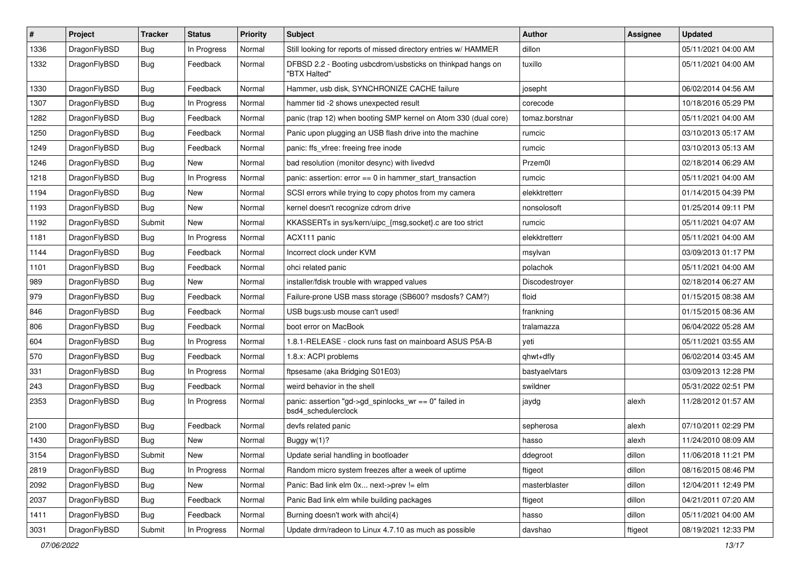| $\sharp$ | Project      | <b>Tracker</b> | <b>Status</b> | <b>Priority</b> | Subject                                                                      | Author         | Assignee | <b>Updated</b>      |
|----------|--------------|----------------|---------------|-----------------|------------------------------------------------------------------------------|----------------|----------|---------------------|
| 1336     | DragonFlyBSD | <b>Bug</b>     | In Progress   | Normal          | Still looking for reports of missed directory entries w/ HAMMER              | dillon         |          | 05/11/2021 04:00 AM |
| 1332     | DragonFlyBSD | <b>Bug</b>     | Feedback      | Normal          | DFBSD 2.2 - Booting usbcdrom/usbsticks on thinkpad hangs on<br>"BTX Halted"  | tuxillo        |          | 05/11/2021 04:00 AM |
| 1330     | DragonFlyBSD | <b>Bug</b>     | Feedback      | Normal          | Hammer, usb disk, SYNCHRONIZE CACHE failure                                  | josepht        |          | 06/02/2014 04:56 AM |
| 1307     | DragonFlyBSD | <b>Bug</b>     | In Progress   | Normal          | hammer tid -2 shows unexpected result                                        | corecode       |          | 10/18/2016 05:29 PM |
| 1282     | DragonFlyBSD | <b>Bug</b>     | Feedback      | Normal          | panic (trap 12) when booting SMP kernel on Atom 330 (dual core)              | tomaz.borstnar |          | 05/11/2021 04:00 AM |
| 1250     | DragonFlyBSD | <b>Bug</b>     | Feedback      | Normal          | Panic upon plugging an USB flash drive into the machine                      | rumcic         |          | 03/10/2013 05:17 AM |
| 1249     | DragonFlyBSD | <b>Bug</b>     | Feedback      | Normal          | panic: ffs vfree: freeing free inode                                         | rumcic         |          | 03/10/2013 05:13 AM |
| 1246     | DragonFlyBSD | <b>Bug</b>     | New           | Normal          | bad resolution (monitor desync) with livedvd                                 | Przem0l        |          | 02/18/2014 06:29 AM |
| 1218     | DragonFlyBSD | <b>Bug</b>     | In Progress   | Normal          | panic: assertion: error == 0 in hammer_start_transaction                     | rumcic         |          | 05/11/2021 04:00 AM |
| 1194     | DragonFlyBSD | <b>Bug</b>     | <b>New</b>    | Normal          | SCSI errors while trying to copy photos from my camera                       | elekktretterr  |          | 01/14/2015 04:39 PM |
| 1193     | DragonFlyBSD | <b>Bug</b>     | New           | Normal          | kernel doesn't recognize cdrom drive                                         | nonsolosoft    |          | 01/25/2014 09:11 PM |
| 1192     | DragonFlyBSD | Submit         | <b>New</b>    | Normal          | KKASSERTs in sys/kern/uipc_{msg,socket}.c are too strict                     | rumcic         |          | 05/11/2021 04:07 AM |
| 1181     | DragonFlyBSD | <b>Bug</b>     | In Progress   | Normal          | ACX111 panic                                                                 | elekktretterr  |          | 05/11/2021 04:00 AM |
| 1144     | DragonFlyBSD | <b>Bug</b>     | Feedback      | Normal          | Incorrect clock under KVM                                                    | msylvan        |          | 03/09/2013 01:17 PM |
| 1101     | DragonFlyBSD | <b>Bug</b>     | Feedback      | Normal          | ohci related panic                                                           | polachok       |          | 05/11/2021 04:00 AM |
| 989      | DragonFlyBSD | <b>Bug</b>     | <b>New</b>    | Normal          | installer/fdisk trouble with wrapped values                                  | Discodestrover |          | 02/18/2014 06:27 AM |
| 979      | DragonFlyBSD | <b>Bug</b>     | Feedback      | Normal          | Failure-prone USB mass storage (SB600? msdosfs? CAM?)                        | floid          |          | 01/15/2015 08:38 AM |
| 846      | DragonFlyBSD | <b>Bug</b>     | Feedback      | Normal          | USB bugs:usb mouse can't used!                                               | frankning      |          | 01/15/2015 08:36 AM |
| 806      | DragonFlyBSD | <b>Bug</b>     | Feedback      | Normal          | boot error on MacBook                                                        | tralamazza     |          | 06/04/2022 05:28 AM |
| 604      | DragonFlyBSD | <b>Bug</b>     | In Progress   | Normal          | 1.8.1-RELEASE - clock runs fast on mainboard ASUS P5A-B                      | yeti           |          | 05/11/2021 03:55 AM |
| 570      | DragonFlyBSD | <b>Bug</b>     | Feedback      | Normal          | 1.8.x: ACPI problems                                                         | qhwt+dfly      |          | 06/02/2014 03:45 AM |
| 331      | DragonFlyBSD | <b>Bug</b>     | In Progress   | Normal          | ftpsesame (aka Bridging S01E03)                                              | bastyaelvtars  |          | 03/09/2013 12:28 PM |
| 243      | DragonFlyBSD | <b>Bug</b>     | Feedback      | Normal          | weird behavior in the shell                                                  | swildner       |          | 05/31/2022 02:51 PM |
| 2353     | DragonFlyBSD | <b>Bug</b>     | In Progress   | Normal          | panic: assertion "gd->gd_spinlocks_wr == 0" failed in<br>bsd4 schedulerclock | jaydg          | alexh    | 11/28/2012 01:57 AM |
| 2100     | DragonFlyBSD | <b>Bug</b>     | Feedback      | Normal          | devfs related panic                                                          | sepherosa      | alexh    | 07/10/2011 02:29 PM |
| 1430     | DragonFlyBSD | <b>Bug</b>     | New           | Normal          | Buggy w(1)?                                                                  | hasso          | alexh    | 11/24/2010 08:09 AM |
| 3154     | DragonFlyBSD | Submit         | New           | Normal          | Update serial handling in bootloader                                         | ddegroot       | dillon   | 11/06/2018 11:21 PM |
| 2819     | DragonFlyBSD | <b>Bug</b>     | In Progress   | Normal          | Random micro system freezes after a week of uptime                           | ftigeot        | dillon   | 08/16/2015 08:46 PM |
| 2092     | DragonFlyBSD | <b>Bug</b>     | New           | Normal          | Panic: Bad link elm 0x next->prev != elm                                     | masterblaster  | dillon   | 12/04/2011 12:49 PM |
| 2037     | DragonFlyBSD | <b>Bug</b>     | Feedback      | Normal          | Panic Bad link elm while building packages                                   | ftigeot        | dillon   | 04/21/2011 07:20 AM |
| 1411     | DragonFlyBSD | <b>Bug</b>     | Feedback      | Normal          | Burning doesn't work with ahci(4)                                            | hasso          | dillon   | 05/11/2021 04:00 AM |
| 3031     | DragonFlyBSD | Submit         | In Progress   | Normal          | Update drm/radeon to Linux 4.7.10 as much as possible                        | davshao        | ftigeot  | 08/19/2021 12:33 PM |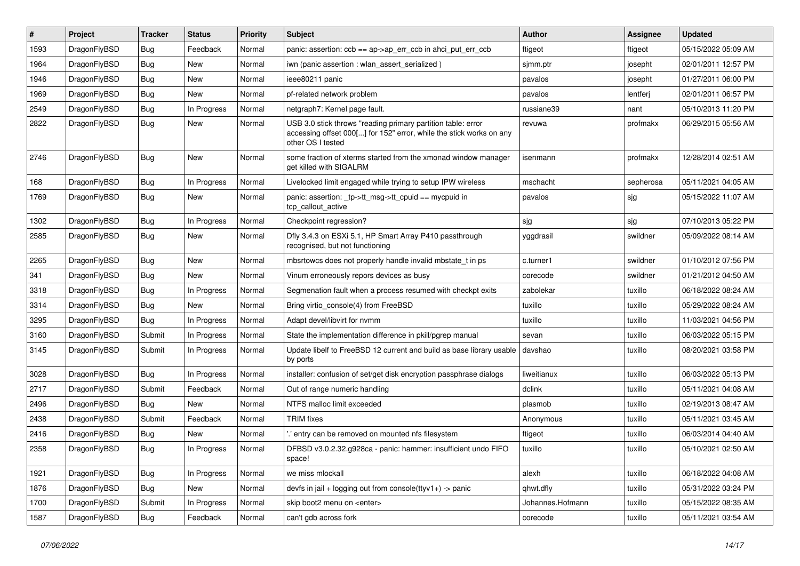| ∦    | Project      | <b>Tracker</b> | <b>Status</b> | <b>Priority</b> | Subject                                                                                                                                                  | <b>Author</b>    | <b>Assignee</b> | <b>Updated</b>      |
|------|--------------|----------------|---------------|-----------------|----------------------------------------------------------------------------------------------------------------------------------------------------------|------------------|-----------------|---------------------|
| 1593 | DragonFlyBSD | <b>Bug</b>     | Feedback      | Normal          | panic: assertion: ccb == ap->ap_err_ccb in ahci_put_err_ccb                                                                                              | ftigeot          | ftigeot         | 05/15/2022 05:09 AM |
| 1964 | DragonFlyBSD | <b>Bug</b>     | New           | Normal          | iwn (panic assertion : wlan assert serialized)                                                                                                           | sjmm.ptr         | josepht         | 02/01/2011 12:57 PM |
| 1946 | DragonFlyBSD | <b>Bug</b>     | New           | Normal          | ieee80211 panic                                                                                                                                          | pavalos          | josepht         | 01/27/2011 06:00 PM |
| 1969 | DragonFlyBSD | <b>Bug</b>     | New           | Normal          | pf-related network problem                                                                                                                               | pavalos          | lentferj        | 02/01/2011 06:57 PM |
| 2549 | DragonFlyBSD | <b>Bug</b>     | In Progress   | Normal          | netgraph7: Kernel page fault.                                                                                                                            | russiane39       | nant            | 05/10/2013 11:20 PM |
| 2822 | DragonFlyBSD | <b>Bug</b>     | New           | Normal          | USB 3.0 stick throws "reading primary partition table: error<br>accessing offset 000[] for 152" error, while the stick works on any<br>other OS I tested | revuwa           | profmakx        | 06/29/2015 05:56 AM |
| 2746 | DragonFlyBSD | <b>Bug</b>     | New           | Normal          | some fraction of xterms started from the xmonad window manager<br>get killed with SIGALRM                                                                | isenmann         | profmakx        | 12/28/2014 02:51 AM |
| 168  | DragonFlyBSD | <b>Bug</b>     | In Progress   | Normal          | Livelocked limit engaged while trying to setup IPW wireless                                                                                              | mschacht         | sepherosa       | 05/11/2021 04:05 AM |
| 1769 | DragonFlyBSD | <b>Bug</b>     | New           | Normal          | panic: assertion: _tp->tt_msg->tt_cpuid == mycpuid in<br>tcp callout active                                                                              | pavalos          | sjg             | 05/15/2022 11:07 AM |
| 1302 | DragonFlyBSD | <b>Bug</b>     | In Progress   | Normal          | Checkpoint regression?                                                                                                                                   | sjg              | sjg             | 07/10/2013 05:22 PM |
| 2585 | DragonFlyBSD | Bug            | New           | Normal          | Dfly 3.4.3 on ESXi 5.1, HP Smart Array P410 passthrough<br>recognised, but not functioning                                                               | yggdrasil        | swildner        | 05/09/2022 08:14 AM |
| 2265 | DragonFlyBSD | <b>Bug</b>     | New           | Normal          | mbsrtowcs does not properly handle invalid mbstate t in ps                                                                                               | c.turner1        | swildner        | 01/10/2012 07:56 PM |
| 341  | DragonFlyBSD | <b>Bug</b>     | <b>New</b>    | Normal          | Vinum erroneously repors devices as busy                                                                                                                 | corecode         | swildner        | 01/21/2012 04:50 AM |
| 3318 | DragonFlyBSD | <b>Bug</b>     | In Progress   | Normal          | Segmenation fault when a process resumed with checkpt exits                                                                                              | zabolekar        | tuxillo         | 06/18/2022 08:24 AM |
| 3314 | DragonFlyBSD | <b>Bug</b>     | New           | Normal          | Bring virtio console(4) from FreeBSD                                                                                                                     | tuxillo          | tuxillo         | 05/29/2022 08:24 AM |
| 3295 | DragonFlyBSD | Bug            | In Progress   | Normal          | Adapt devel/libvirt for nvmm                                                                                                                             | tuxillo          | tuxillo         | 11/03/2021 04:56 PM |
| 3160 | DragonFlyBSD | Submit         | In Progress   | Normal          | State the implementation difference in pkill/pgrep manual                                                                                                | sevan            | tuxillo         | 06/03/2022 05:15 PM |
| 3145 | DragonFlyBSD | Submit         | In Progress   | Normal          | Update libelf to FreeBSD 12 current and build as base library usable<br>by ports                                                                         | davshao          | tuxillo         | 08/20/2021 03:58 PM |
| 3028 | DragonFlyBSD | Bug            | In Progress   | Normal          | installer: confusion of set/get disk encryption passphrase dialogs                                                                                       | liweitianux      | tuxillo         | 06/03/2022 05:13 PM |
| 2717 | DragonFlyBSD | Submit         | Feedback      | Normal          | Out of range numeric handling                                                                                                                            | dclink           | tuxillo         | 05/11/2021 04:08 AM |
| 2496 | DragonFlyBSD | Bug            | <b>New</b>    | Normal          | NTFS malloc limit exceeded                                                                                                                               | plasmob          | tuxillo         | 02/19/2013 08:47 AM |
| 2438 | DragonFlyBSD | Submit         | Feedback      | Normal          | <b>TRIM</b> fixes                                                                                                                                        | Anonymous        | tuxillo         | 05/11/2021 03:45 AM |
| 2416 | DragonFlyBSD | <b>Bug</b>     | <b>New</b>    | Normal          | ".' entry can be removed on mounted nfs filesystem                                                                                                       | ftigeot          | tuxillo         | 06/03/2014 04:40 AM |
| 2358 | DragonFlyBSD | <b>Bug</b>     | In Progress   | Normal          | DFBSD v3.0.2.32.g928ca - panic: hammer: insufficient undo FIFO<br>space!                                                                                 | tuxillo          | tuxillo         | 05/10/2021 02:50 AM |
| 1921 | DragonFlyBSD | Bug            | In Progress   | Normal          | we miss mlockall                                                                                                                                         | alexh            | tuxillo         | 06/18/2022 04:08 AM |
| 1876 | DragonFlyBSD | Bug            | New           | Normal          | devfs in jail + logging out from console(ttyv1+) -> panic                                                                                                | qhwt.dfly        | tuxillo         | 05/31/2022 03:24 PM |
| 1700 | DragonFlyBSD | Submit         | In Progress   | Normal          | skip boot2 menu on <enter></enter>                                                                                                                       | Johannes.Hofmann | tuxillo         | 05/15/2022 08:35 AM |
| 1587 | DragonFlyBSD | <b>Bug</b>     | Feedback      | Normal          | can't gdb across fork                                                                                                                                    | corecode         | tuxillo         | 05/11/2021 03:54 AM |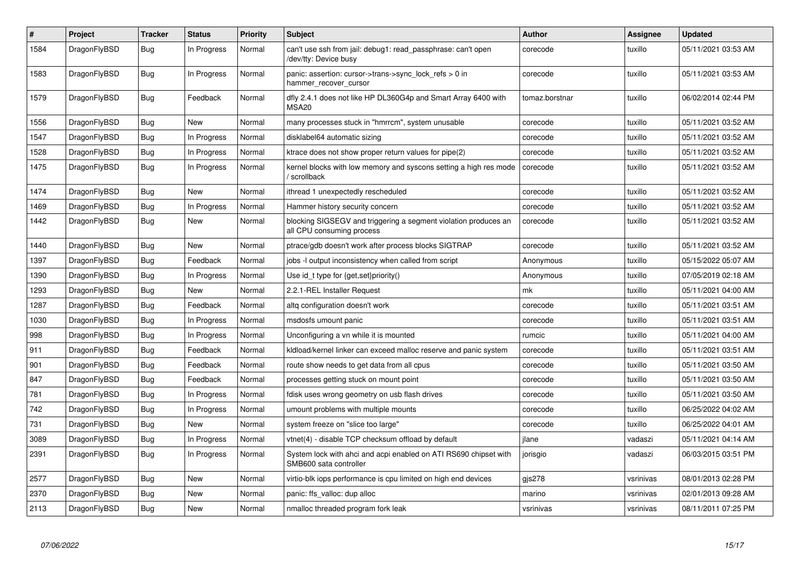| #    | Project      | <b>Tracker</b> | <b>Status</b> | <b>Priority</b> | <b>Subject</b>                                                                               | <b>Author</b>  | Assignee  | Updated             |
|------|--------------|----------------|---------------|-----------------|----------------------------------------------------------------------------------------------|----------------|-----------|---------------------|
| 1584 | DragonFlyBSD | Bug            | In Progress   | Normal          | can't use ssh from jail: debug1: read passphrase: can't open<br>/dev/tty: Device busy        | corecode       | tuxillo   | 05/11/2021 03:53 AM |
| 1583 | DragonFlyBSD | Bug            | In Progress   | Normal          | panic: assertion: cursor->trans->sync lock refs $> 0$ in<br>hammer_recover_cursor            | corecode       | tuxillo   | 05/11/2021 03:53 AM |
| 1579 | DragonFlyBSD | <b>Bug</b>     | Feedback      | Normal          | dfly 2.4.1 does not like HP DL360G4p and Smart Array 6400 with<br>MSA <sub>20</sub>          | tomaz.borstnar | tuxillo   | 06/02/2014 02:44 PM |
| 1556 | DragonFlyBSD | Bug            | <b>New</b>    | Normal          | many processes stuck in "hmrrcm", system unusable                                            | corecode       | tuxillo   | 05/11/2021 03:52 AM |
| 1547 | DragonFlyBSD | Bug            | In Progress   | Normal          | disklabel64 automatic sizing                                                                 | corecode       | tuxillo   | 05/11/2021 03:52 AM |
| 1528 | DragonFlyBSD | <b>Bug</b>     | In Progress   | Normal          | ktrace does not show proper return values for pipe(2)                                        | corecode       | tuxillo   | 05/11/2021 03:52 AM |
| 1475 | DragonFlyBSD | Bug            | In Progress   | Normal          | kernel blocks with low memory and syscons setting a high res mode<br>scrollback              | corecode       | tuxillo   | 05/11/2021 03:52 AM |
| 1474 | DragonFlyBSD | Bug            | <b>New</b>    | Normal          | ithread 1 unexpectedly rescheduled                                                           | corecode       | tuxillo   | 05/11/2021 03:52 AM |
| 1469 | DragonFlyBSD | Bug            | In Progress   | Normal          | Hammer history security concern                                                              | corecode       | tuxillo   | 05/11/2021 03:52 AM |
| 1442 | DragonFlyBSD | Bug            | New           | Normal          | blocking SIGSEGV and triggering a segment violation produces an<br>all CPU consuming process | corecode       | tuxillo   | 05/11/2021 03:52 AM |
| 1440 | DragonFlyBSD | <b>Bug</b>     | <b>New</b>    | Normal          | ptrace/gdb doesn't work after process blocks SIGTRAP                                         | corecode       | tuxillo   | 05/11/2021 03:52 AM |
| 1397 | DragonFlyBSD | Bug            | Feedback      | Normal          | jobs -I output inconsistency when called from script                                         | Anonymous      | tuxillo   | 05/15/2022 05:07 AM |
| 1390 | DragonFlyBSD | <b>Bug</b>     | In Progress   | Normal          | Use id_t type for {get,set}priority()                                                        | Anonymous      | tuxillo   | 07/05/2019 02:18 AM |
| 1293 | DragonFlyBSD | Bug            | New           | Normal          | 2.2.1-REL Installer Request                                                                  | mk             | tuxillo   | 05/11/2021 04:00 AM |
| 1287 | DragonFlyBSD | <b>Bug</b>     | Feedback      | Normal          | altg configuration doesn't work                                                              | corecode       | tuxillo   | 05/11/2021 03:51 AM |
| 1030 | DragonFlyBSD | Bug            | In Progress   | Normal          | msdosfs umount panic                                                                         | corecode       | tuxillo   | 05/11/2021 03:51 AM |
| 998  | DragonFlyBSD | Bug            | In Progress   | Normal          | Unconfiguring a vn while it is mounted                                                       | rumcic         | tuxillo   | 05/11/2021 04:00 AM |
| 911  | DragonFlyBSD | <b>Bug</b>     | Feedback      | Normal          | kldload/kernel linker can exceed malloc reserve and panic system                             | corecode       | tuxillo   | 05/11/2021 03:51 AM |
| 901  | DragonFlyBSD | <b>Bug</b>     | Feedback      | Normal          | route show needs to get data from all cpus                                                   | corecode       | tuxillo   | 05/11/2021 03:50 AM |
| 847  | DragonFlyBSD | <b>Bug</b>     | Feedback      | Normal          | processes getting stuck on mount point                                                       | corecode       | tuxillo   | 05/11/2021 03:50 AM |
| 781  | DragonFlyBSD | Bug            | In Progress   | Normal          | fdisk uses wrong geometry on usb flash drives                                                | corecode       | tuxillo   | 05/11/2021 03:50 AM |
| 742  | DragonFlyBSD | <b>Bug</b>     | In Progress   | Normal          | umount problems with multiple mounts                                                         | corecode       | tuxillo   | 06/25/2022 04:02 AM |
| 731  | DragonFlyBSD | Bug            | New           | Normal          | system freeze on "slice too large"                                                           | corecode       | tuxillo   | 06/25/2022 04:01 AM |
| 3089 | DragonFlyBSD | <b>Bug</b>     | In Progress   | Normal          | vtnet(4) - disable TCP checksum offload by default                                           | ilane          | vadaszi   | 05/11/2021 04:14 AM |
| 2391 | DragonFlyBSD | Bug            | In Progress   | Normal          | System lock with ahci and acpi enabled on ATI RS690 chipset with<br>SMB600 sata controller   | jorisgio       | vadaszi   | 06/03/2015 03:51 PM |
| 2577 | DragonFlyBSD | <b>Bug</b>     | <b>New</b>    | Normal          | virtio-blk iops performance is cpu limited on high end devices                               | $q$ js $278$   | vsrinivas | 08/01/2013 02:28 PM |
| 2370 | DragonFlyBSD | Bug            | New           | Normal          | panic: ffs valloc: dup alloc                                                                 | marino         | vsrinivas | 02/01/2013 09:28 AM |
| 2113 | DragonFlyBSD | Bug            | <b>New</b>    | Normal          | nmalloc threaded program fork leak                                                           | vsrinivas      | vsrinivas | 08/11/2011 07:25 PM |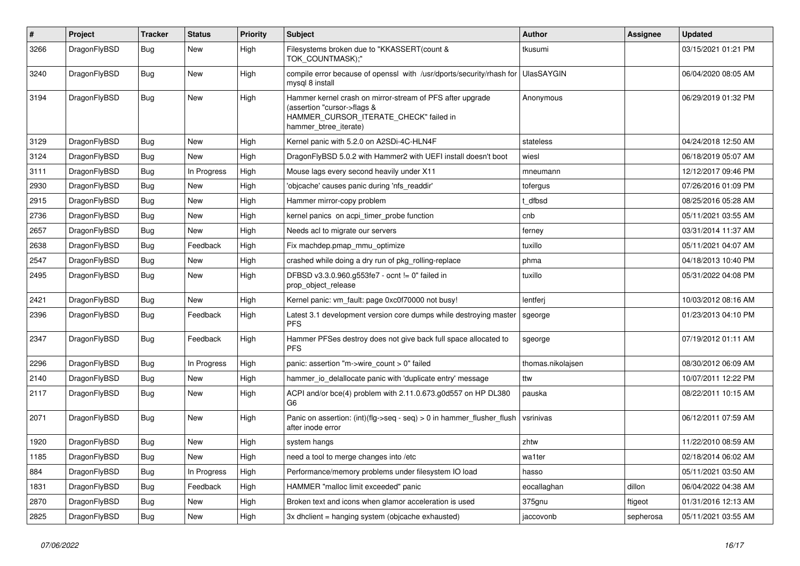| #    | Project      | Tracker    | <b>Status</b> | <b>Priority</b> | <b>Subject</b>                                                                                                                                              | <b>Author</b>     | Assignee  | <b>Updated</b>      |
|------|--------------|------------|---------------|-----------------|-------------------------------------------------------------------------------------------------------------------------------------------------------------|-------------------|-----------|---------------------|
| 3266 | DragonFlyBSD | <b>Bug</b> | New           | High            | Filesystems broken due to "KKASSERT(count &<br>TOK_COUNTMASK);"                                                                                             | tkusumi           |           | 03/15/2021 01:21 PM |
| 3240 | DragonFlyBSD | <b>Bug</b> | <b>New</b>    | High            | compile error because of openssl with /usr/dports/security/rhash for<br>mysgl 8 install                                                                     | <b>UlasSAYGIN</b> |           | 06/04/2020 08:05 AM |
| 3194 | DragonFlyBSD | <b>Bug</b> | New           | High            | Hammer kernel crash on mirror-stream of PFS after upgrade<br>(assertion "cursor->flags &<br>HAMMER_CURSOR_ITERATE_CHECK" failed in<br>hammer btree iterate) | Anonymous         |           | 06/29/2019 01:32 PM |
| 3129 | DragonFlyBSD | <b>Bug</b> | <b>New</b>    | High            | Kernel panic with 5.2.0 on A2SDi-4C-HLN4F                                                                                                                   | stateless         |           | 04/24/2018 12:50 AM |
| 3124 | DragonFlyBSD | <b>Bug</b> | New           | High            | DragonFlyBSD 5.0.2 with Hammer2 with UEFI install doesn't boot                                                                                              | wiesl             |           | 06/18/2019 05:07 AM |
| 3111 | DragonFlyBSD | Bug        | In Progress   | High            | Mouse lags every second heavily under X11                                                                                                                   | mneumann          |           | 12/12/2017 09:46 PM |
| 2930 | DragonFlyBSD | Bug        | <b>New</b>    | High            | 'objcache' causes panic during 'nfs readdir'                                                                                                                | tofergus          |           | 07/26/2016 01:09 PM |
| 2915 | DragonFlyBSD | <b>Bug</b> | <b>New</b>    | High            | Hammer mirror-copy problem                                                                                                                                  | t dfbsd           |           | 08/25/2016 05:28 AM |
| 2736 | DragonFlyBSD | <b>Bug</b> | <b>New</b>    | High            | kernel panics on acpi timer probe function                                                                                                                  | cnb               |           | 05/11/2021 03:55 AM |
| 2657 | DragonFlyBSD | <b>Bug</b> | <b>New</b>    | High            | Needs acl to migrate our servers                                                                                                                            | ferney            |           | 03/31/2014 11:37 AM |
| 2638 | DragonFlyBSD | Bug        | Feedback      | High            | Fix machdep.pmap_mmu_optimize                                                                                                                               | tuxillo           |           | 05/11/2021 04:07 AM |
| 2547 | DragonFlyBSD | Bug        | <b>New</b>    | High            | crashed while doing a dry run of pkg rolling-replace                                                                                                        | phma              |           | 04/18/2013 10:40 PM |
| 2495 | DragonFlyBSD | Bug        | <b>New</b>    | High            | DFBSD v3.3.0.960.g553fe7 - ocnt != 0" failed in<br>prop_object_release                                                                                      | tuxillo           |           | 05/31/2022 04:08 PM |
| 2421 | DragonFlyBSD | <b>Bug</b> | <b>New</b>    | High            | Kernel panic: vm_fault: page 0xc0f70000 not busy!                                                                                                           | lentferj          |           | 10/03/2012 08:16 AM |
| 2396 | DragonFlyBSD | <b>Bug</b> | Feedback      | High            | Latest 3.1 development version core dumps while destroying master<br><b>PFS</b>                                                                             | sgeorge           |           | 01/23/2013 04:10 PM |
| 2347 | DragonFlyBSD | Bug        | Feedback      | High            | Hammer PFSes destroy does not give back full space allocated to<br><b>PFS</b>                                                                               | sgeorge           |           | 07/19/2012 01:11 AM |
| 2296 | DragonFlyBSD | <b>Bug</b> | In Progress   | High            | panic: assertion "m->wire count > 0" failed                                                                                                                 | thomas.nikolajsen |           | 08/30/2012 06:09 AM |
| 2140 | DragonFlyBSD | Bug        | <b>New</b>    | High            | hammer io delallocate panic with 'duplicate entry' message                                                                                                  | ttw               |           | 10/07/2011 12:22 PM |
| 2117 | DragonFlyBSD | <b>Bug</b> | <b>New</b>    | High            | ACPI and/or bce(4) problem with 2.11.0.673.g0d557 on HP DL380<br>G6                                                                                         | pauska            |           | 08/22/2011 10:15 AM |
| 2071 | DragonFlyBSD | Bug        | <b>New</b>    | High            | Panic on assertion: (int)(flg->seq - seq) > 0 in hammer flusher flush<br>after inode error                                                                  | vsrinivas         |           | 06/12/2011 07:59 AM |
| 1920 | DragonFlyBSD | <b>Bug</b> | <b>New</b>    | High            | system hangs                                                                                                                                                | zhtw              |           | 11/22/2010 08:59 AM |
| 1185 | DragonFlyBSD | <b>Bug</b> | <b>New</b>    | High            | need a tool to merge changes into /etc                                                                                                                      | wa1ter            |           | 02/18/2014 06:02 AM |
| 884  | DragonFlyBSD | Bug        | In Progress   | High            | Performance/memory problems under filesystem IO load                                                                                                        | hasso             |           | 05/11/2021 03:50 AM |
| 1831 | DragonFlyBSD | Bug        | Feedback      | High            | HAMMER "malloc limit exceeded" panic                                                                                                                        | eocallaghan       | dillon    | 06/04/2022 04:38 AM |
| 2870 | DragonFlyBSD | <b>Bug</b> | <b>New</b>    | High            | Broken text and icons when glamor acceleration is used                                                                                                      | 375gnu            | ftigeot   | 01/31/2016 12:13 AM |
| 2825 | DragonFlyBSD | <b>Bug</b> | <b>New</b>    | High            | 3x dholient = hanging system (objoache exhausted)                                                                                                           | jaccovonb         | sepherosa | 05/11/2021 03:55 AM |